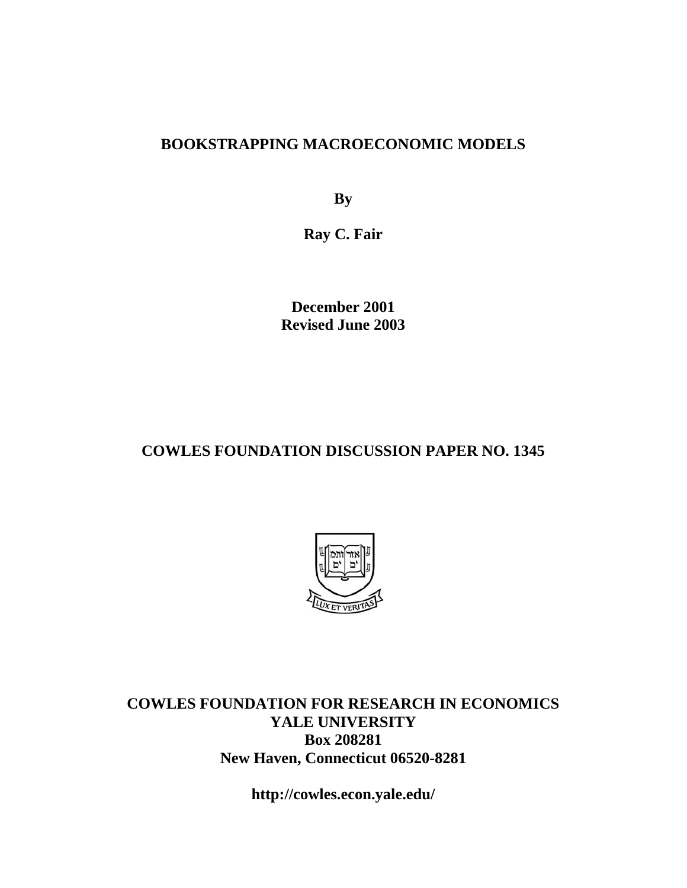### **BOOKSTRAPPING MACROECONOMIC MODELS**

**By** 

**Ray C. Fair** 

**December 2001 Revised June 2003** 

### **COWLES FOUNDATION DISCUSSION PAPER NO. 1345**



**COWLES FOUNDATION FOR RESEARCH IN ECONOMICS YALE UNIVERSITY Box 208281 New Haven, Connecticut 06520-8281** 

**http://cowles.econ.yale.edu/**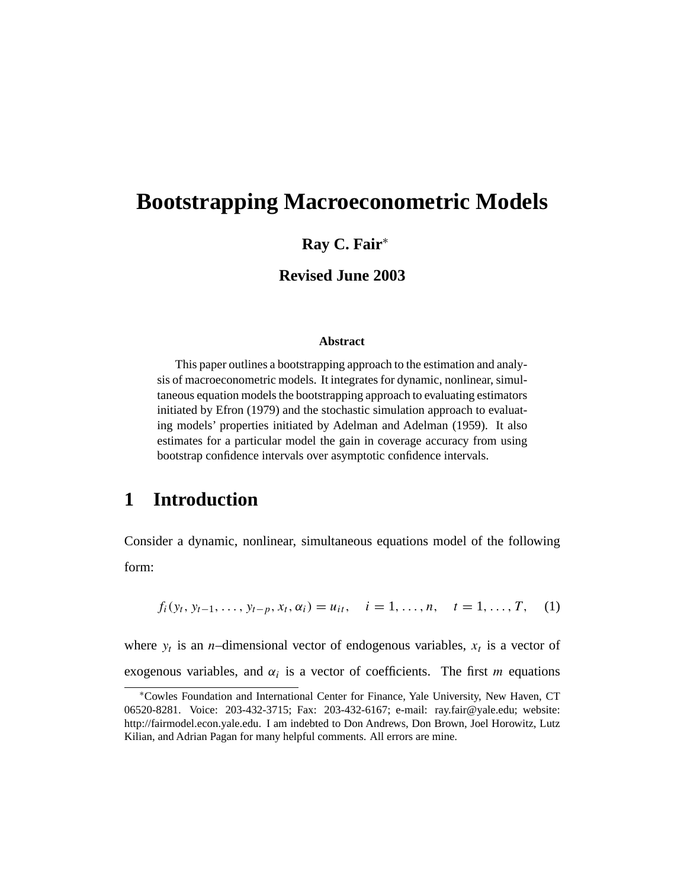# **Bootstrapping Macroeconometric Models**

#### **Ray C. Fair**<sup>∗</sup>

#### **Revised June 2003**

#### **Abstract**

This paper outlines a bootstrapping approach to the estimation and analysis of macroeconometric models. It integrates for dynamic, nonlinear, simultaneous equation models the bootstrapping approach to evaluating estimators initiated by Efron (1979) and the stochastic simulation approach to evaluating models' properties initiated by Adelman and Adelman (1959). It also estimates for a particular model the gain in coverage accuracy from using bootstrap confidence intervals over asymptotic confidence intervals.

### **1 Introduction**

Consider a dynamic, nonlinear, simultaneous equations model of the following form:

$$
f_i(y_t, y_{t-1}, \ldots, y_{t-p}, x_t, \alpha_i) = u_{it}, \quad i = 1, \ldots, n, \quad t = 1, \ldots, T,
$$
 (1)

where  $y_t$  is an *n*-dimensional vector of endogenous variables,  $x_t$  is a vector of exogenous variables, and  $\alpha_i$  is a vector of coefficients. The first m equations

<sup>∗</sup>Cowles Foundation and International Center for Finance, Yale University, New Haven, CT 06520-8281. Voice: 203-432-3715; Fax: 203-432-6167; e-mail: ray.fair@yale.edu; website: http://fairmodel.econ.yale.edu. I am indebted to Don Andrews, Don Brown, Joel Horowitz, Lutz Kilian, and Adrian Pagan for many helpful comments. All errors are mine.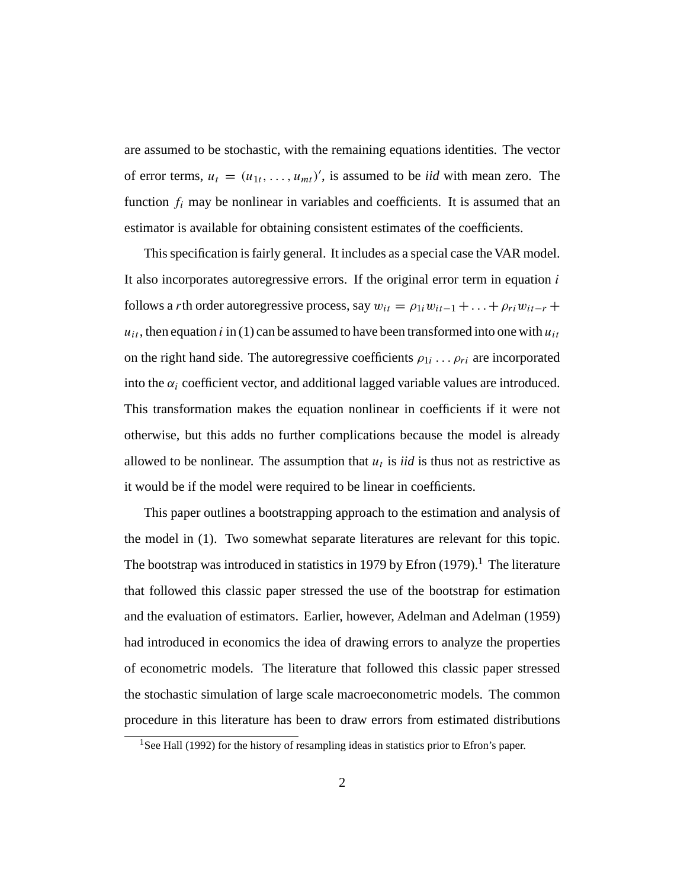are assumed to be stochastic, with the remaining equations identities. The vector of error terms,  $u_t = (u_{1t}, \dots, u_{mt})'$ , is assumed to be *iid* with mean zero. The function  $f_i$  may be nonlinear in variables and coefficients. It is assumed that an estimator is available for obtaining consistent estimates of the coefficients.

This specification is fairly general. It includes as a special case the VAR model. It also incorporates autoregressive errors. If the original error term in equation  $i$ follows a *r*th order autoregressive process, say  $w_{it} = \rho_{1i} w_{it-1} + \ldots + \rho_{ri} w_{it-r} +$  $u_{it}$ , then equation i in (1) can be assumed to have been transformed into one with  $u_{it}$ on the right hand side. The autoregressive coefficients  $\rho_{1i} \dots \rho_{ri}$  are incorporated into the  $\alpha_i$  coefficient vector, and additional lagged variable values are introduced. This transformation makes the equation nonlinear in coefficients if it were not otherwise, but this adds no further complications because the model is already allowed to be nonlinear. The assumption that  $u_t$  is *iid* is thus not as restrictive as it would be if the model were required to be linear in coefficients.

This paper outlines a bootstrapping approach to the estimation and analysis of the model in (1). Two somewhat separate literatures are relevant for this topic. The bootstrap was introduced in statistics in 1979 by Efron  $(1979)$ .<sup>1</sup> The literature that followed this classic paper stressed the use of the bootstrap for estimation and the evaluation of estimators. Earlier, however, Adelman and Adelman (1959) had introduced in economics the idea of drawing errors to analyze the properties of econometric models. The literature that followed this classic paper stressed the stochastic simulation of large scale macroeconometric models. The common procedure in this literature has been to draw errors from estimated distributions

<sup>&</sup>lt;sup>1</sup>See Hall (1992) for the history of resampling ideas in statistics prior to Efron's paper.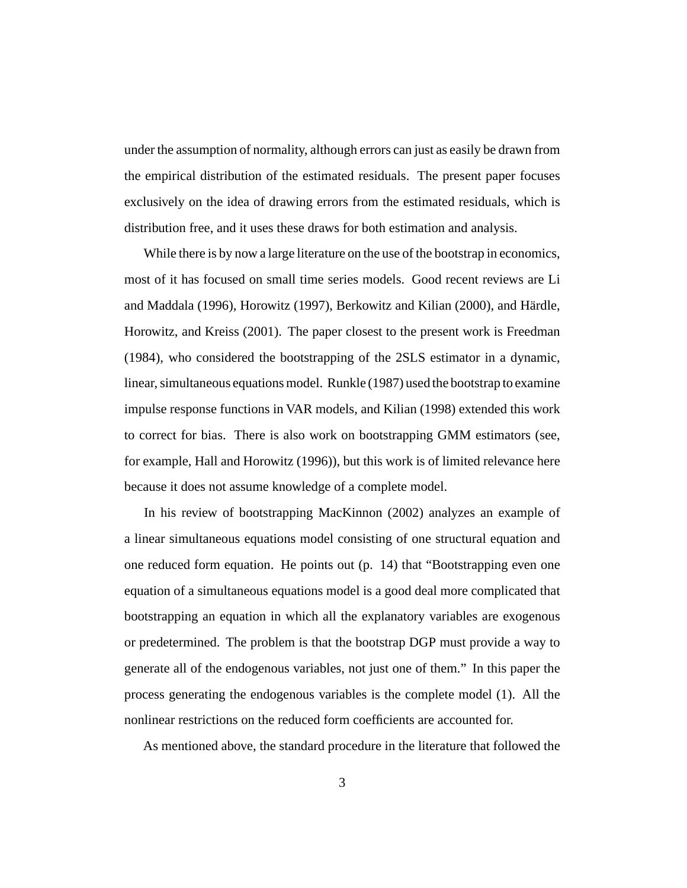under the assumption of normality, although errors can just as easily be drawn from the empirical distribution of the estimated residuals. The present paper focuses exclusively on the idea of drawing errors from the estimated residuals, which is distribution free, and it uses these draws for both estimation and analysis.

While there is by now a large literature on the use of the bootstrap in economics, most of it has focused on small time series models. Good recent reviews are Li and Maddala (1996), Horowitz (1997), Berkowitz and Kilian (2000), and Härdle, Horowitz, and Kreiss (2001). The paper closest to the present work is Freedman (1984), who considered the bootstrapping of the 2SLS estimator in a dynamic, linear, simultaneous equations model. Runkle (1987) used the bootstrap to examine impulse response functions in VAR models, and Kilian (1998) extended this work to correct for bias. There is also work on bootstrapping GMM estimators (see, for example, Hall and Horowitz (1996)), but this work is of limited relevance here because it does not assume knowledge of a complete model.

In his review of bootstrapping MacKinnon (2002) analyzes an example of a linear simultaneous equations model consisting of one structural equation and one reduced form equation. He points out (p. 14) that "Bootstrapping even one equation of a simultaneous equations model is a good deal more complicated that bootstrapping an equation in which all the explanatory variables are exogenous or predetermined. The problem is that the bootstrap DGP must provide a way to generate all of the endogenous variables, not just one of them." In this paper the process generating the endogenous variables is the complete model (1). All the nonlinear restrictions on the reduced form coefficients are accounted for.

As mentioned above, the standard procedure in the literature that followed the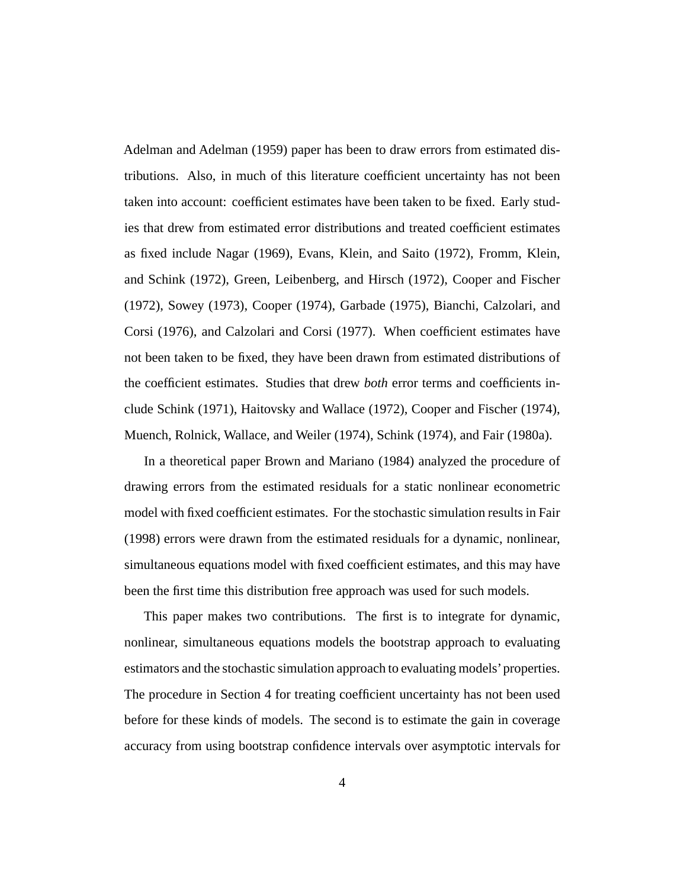Adelman and Adelman (1959) paper has been to draw errors from estimated distributions. Also, in much of this literature coefficient uncertainty has not been taken into account: coefficient estimates have been taken to be fixed. Early studies that drew from estimated error distributions and treated coefficient estimates as fixed include Nagar (1969), Evans, Klein, and Saito (1972), Fromm, Klein, and Schink (1972), Green, Leibenberg, and Hirsch (1972), Cooper and Fischer (1972), Sowey (1973), Cooper (1974), Garbade (1975), Bianchi, Calzolari, and Corsi (1976), and Calzolari and Corsi (1977). When coefficient estimates have not been taken to be fixed, they have been drawn from estimated distributions of the coefficient estimates. Studies that drew *both* error terms and coefficients include Schink (1971), Haitovsky and Wallace (1972), Cooper and Fischer (1974), Muench, Rolnick, Wallace, and Weiler (1974), Schink (1974), and Fair (1980a).

In a theoretical paper Brown and Mariano (1984) analyzed the procedure of drawing errors from the estimated residuals for a static nonlinear econometric model with fixed coefficient estimates. For the stochastic simulation results in Fair (1998) errors were drawn from the estimated residuals for a dynamic, nonlinear, simultaneous equations model with fixed coefficient estimates, and this may have been the first time this distribution free approach was used for such models.

This paper makes two contributions. The first is to integrate for dynamic, nonlinear, simultaneous equations models the bootstrap approach to evaluating estimators and the stochastic simulation approach to evaluating models'properties. The procedure in Section 4 for treating coefficient uncertainty has not been used before for these kinds of models. The second is to estimate the gain in coverage accuracy from using bootstrap confidence intervals over asymptotic intervals for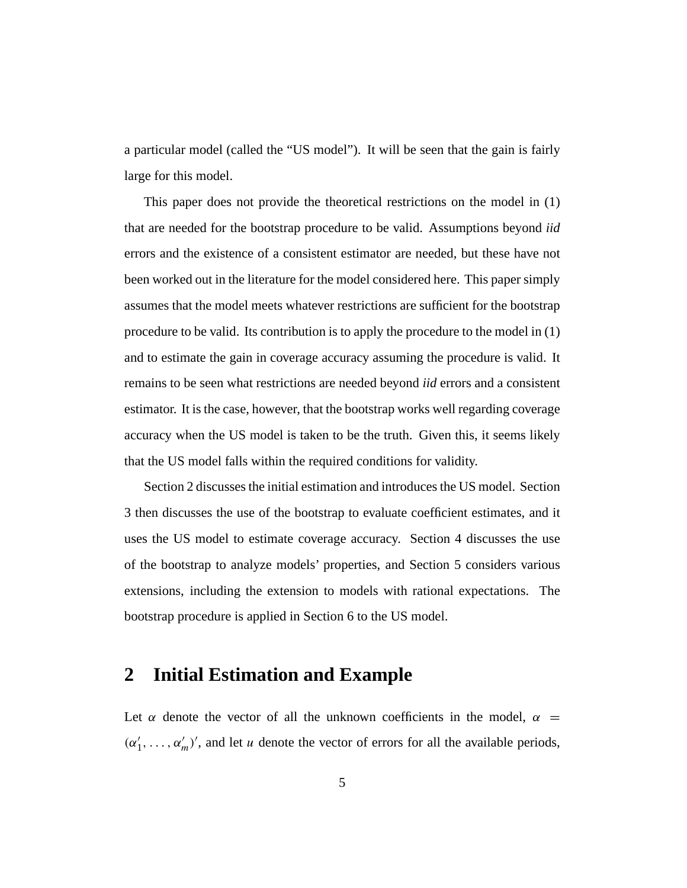a particular model (called the "US model"). It will be seen that the gain is fairly large for this model.

This paper does not provide the theoretical restrictions on the model in (1) that are needed for the bootstrap procedure to be valid. Assumptions beyond *iid* errors and the existence of a consistent estimator are needed, but these have not been worked out in the literature for the model considered here. This paper simply assumes that the model meets whatever restrictions are sufficient for the bootstrap procedure to be valid. Its contribution is to apply the procedure to the model in (1) and to estimate the gain in coverage accuracy assuming the procedure is valid. It remains to be seen what restrictions are needed beyond *iid* errors and a consistent estimator. It is the case, however, that the bootstrap works well regarding coverage accuracy when the US model is taken to be the truth. Given this, it seems likely that the US model falls within the required conditions for validity.

Section 2 discusses the initial estimation and introduces the US model. Section 3 then discusses the use of the bootstrap to evaluate coefficient estimates, and it uses the US model to estimate coverage accuracy. Section 4 discusses the use of the bootstrap to analyze models' properties, and Section 5 considers various extensions, including the extension to models with rational expectations. The bootstrap procedure is applied in Section 6 to the US model.

### **2 Initial Estimation and Example**

Let  $\alpha$  denote the vector of all the unknown coefficients in the model,  $\alpha$  =  $(\alpha'_1, \ldots, \alpha'_m)'$ , and let u denote the vector of errors for all the available periods,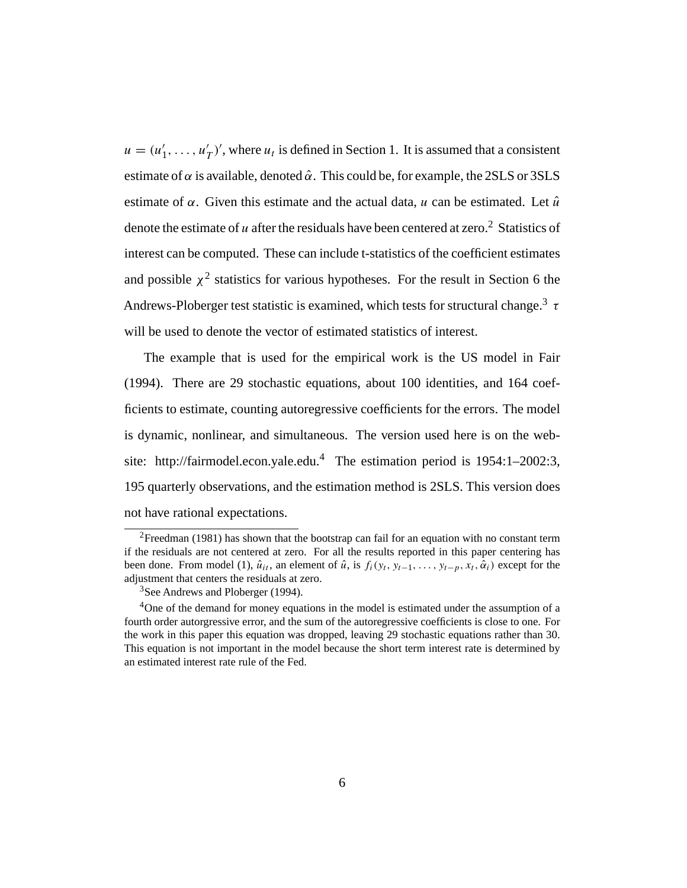$u = (u'_1, \ldots, u'_T)'$ , where  $u_t$  is defined in Section 1. It is assumed that a consistent estimate of  $\alpha$  is available, denoted  $\hat{\alpha}$ . This could be, for example, the 2SLS or 3SLS estimate of  $\alpha$ . Given this estimate and the actual data, u can be estimated. Let  $\hat{u}$ denote the estimate of  $u$  after the residuals have been centered at zero.<sup>2</sup> Statistics of interest can be computed. These can include t-statistics of the coefficient estimates and possible  $\chi^2$  statistics for various hypotheses. For the result in Section 6 the Andrews-Ploberger test statistic is examined, which tests for structural change.<sup>3</sup>  $\tau$ will be used to denote the vector of estimated statistics of interest.

The example that is used for the empirical work is the US model in Fair (1994). There are 29 stochastic equations, about 100 identities, and 164 coefficients to estimate, counting autoregressive coefficients for the errors. The model is dynamic, nonlinear, and simultaneous. The version used here is on the website: http://fairmodel.econ.yale.edu.<sup>4</sup> The estimation period is  $1954:1-2002:3$ , 195 quarterly observations, and the estimation method is 2SLS. This version does not have rational expectations.

<sup>&</sup>lt;sup>2</sup>Freedman (1981) has shown that the bootstrap can fail for an equation with no constant term if the residuals are not centered at zero. For all the results reported in this paper centering has been done. From model (1),  $\hat{u}_{it}$ , an element of  $\hat{u}$ , is  $f_i(y_t, y_{t-1}, \ldots, y_{t-p}, x_t, \hat{\alpha}_i)$  except for the adjustment that centers the residuals at zero.

<sup>&</sup>lt;sup>3</sup>See Andrews and Ploberger (1994).

<sup>&</sup>lt;sup>4</sup>One of the demand for money equations in the model is estimated under the assumption of a fourth order autorgressive error, and the sum of the autoregressive coefficients is close to one. For the work in this paper this equation was dropped, leaving 29 stochastic equations rather than 30. This equation is not important in the model because the short term interest rate is determined by an estimated interest rate rule of the Fed.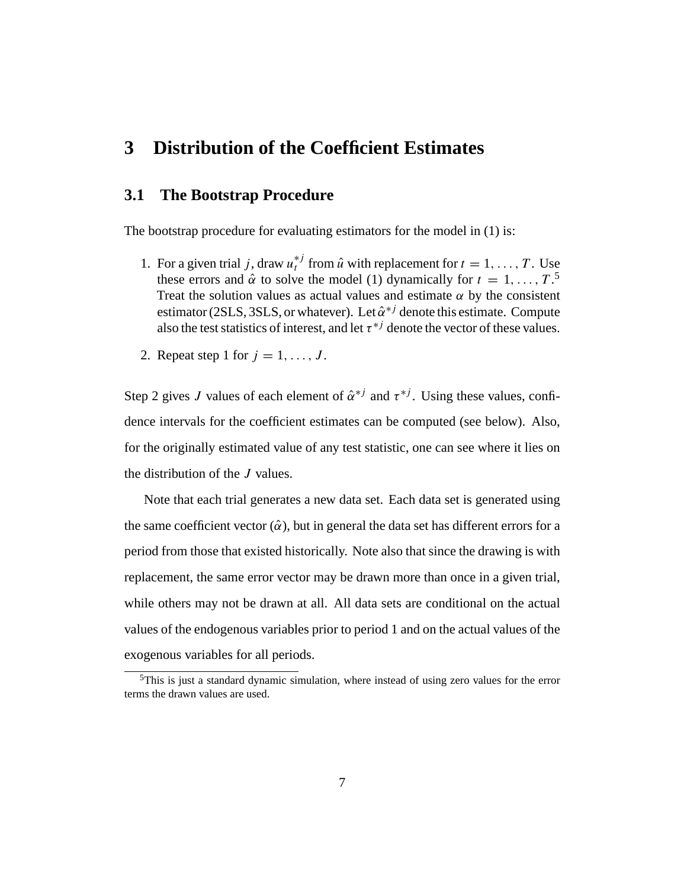### **3 Distribution of the Coefficient Estimates**

#### **3.1 The Bootstrap Procedure**

The bootstrap procedure for evaluating estimators for the model in (1) is:

- 1. For a given trial j, draw  $u_t^{*j}$  from  $\hat{u}$  with replacement for  $t = 1, \ldots, T$ . Use these errors and  $\hat{\alpha}$  to solve the model (1) dynamically for  $t = 1, ..., T$ .<sup>5</sup> Treat the solution values as actual values and estimate  $\alpha$  by the consistent estimator (2SLS, 3SLS, or whatever). Let  $\hat{\alpha}^{*j}$  denote this estimate. Compute also the test statistics of interest, and let  $\tau^{*j}$  denote the vector of these values.
- 2. Repeat step 1 for  $j = 1, \ldots, J$ .

Step 2 gives J values of each element of  $\hat{\alpha}^{*j}$  and  $\tau^{*j}$ . Using these values, confidence intervals for the coefficient estimates can be computed (see below). Also, for the originally estimated value of any test statistic, one can see where it lies on the distribution of the J values.

Note that each trial generates a new data set. Each data set is generated using the same coefficient vector  $(\hat{\alpha})$ , but in general the data set has different errors for a period from those that existed historically. Note also that since the drawing is with replacement, the same error vector may be drawn more than once in a given trial, while others may not be drawn at all. All data sets are conditional on the actual values of the endogenous variables prior to period 1 and on the actual values of the exogenous variables for all periods.

<sup>&</sup>lt;sup>5</sup>This is just a standard dynamic simulation, where instead of using zero values for the error terms the drawn values are used.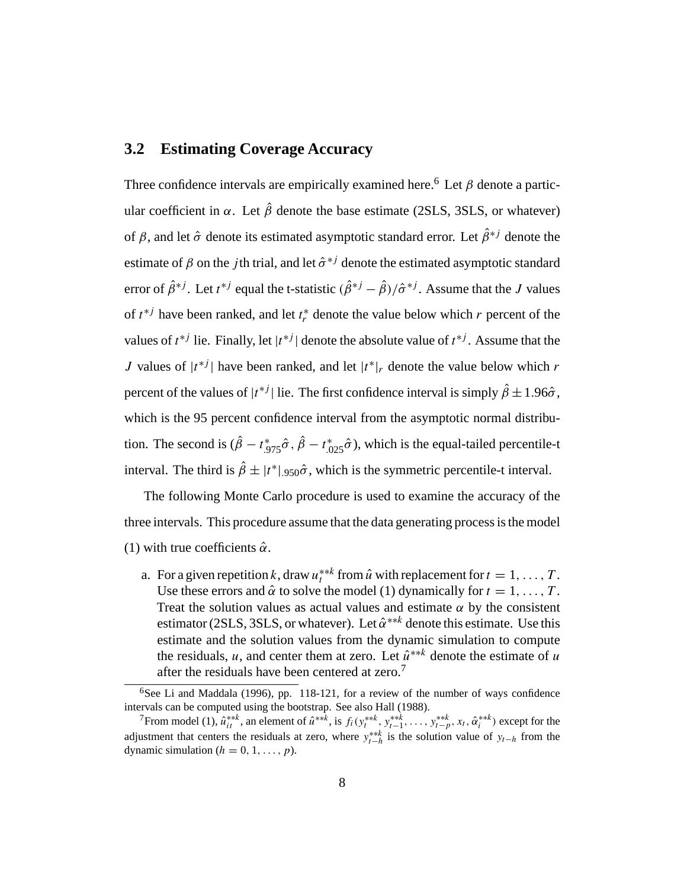### **3.2 Estimating Coverage Accuracy**

Three confidence intervals are empirically examined here.<sup>6</sup> Let  $\beta$  denote a particular coefficient in  $\alpha$ . Let  $\hat{\beta}$  denote the base estimate (2SLS, 3SLS, or whatever) of  $\beta$ , and let  $\hat{\sigma}$  denote its estimated asymptotic standard error. Let  $\hat{\beta}^{*j}$  denote the estimate of  $\beta$  on the *j*th trial, and let  $\hat{\sigma}^{*j}$  denote the estimated asymptotic standard error of  $\hat{\beta}^{*j}$ . Let  $t^{*j}$  equal the t-statistic  $(\hat{\beta}^{*j} - \hat{\beta})/\hat{\sigma}^{*j}$ . Assume that the J values of  $t^{*j}$  have been ranked, and let  $t_r^*$  denote the value below which r percent of the values of  $t^{*j}$  lie. Finally, let  $|t^{*j}|$  denote the absolute value of  $t^{*j}$ . Assume that the J values of  $|t^{*j}|$  have been ranked, and let  $|t^{*}|$ , denote the value below which r percent of the values of  $|t^{*j}|$  lie. The first confidence interval is simply  $\hat{\beta} \pm 1.96\hat{\sigma}$ , which is the 95 percent confidence interval from the asymptotic normal distribution. The second is  $(\beta - t^*_{.975}\hat{\sigma}, \beta - t^*_{.025}\hat{\sigma})$ , which is the equal-tailed percentile-t interval. The third is  $\hat{\beta} \pm |t^*|_{.950}\hat{\sigma}$ , which is the symmetric percentile-t interval.

The following Monte Carlo procedure is used to examine the accuracy of the three intervals. This procedure assume that the data generating process is the model (1) with true coefficients  $\hat{\alpha}$ .

a. For a given repetition k, draw  $u_t^{***}$  from  $\hat{u}$  with replacement for  $t = 1, \ldots, T$ . Use these errors and  $\hat{\alpha}$  to solve the model (1) dynamically for  $t = 1, \ldots, T$ . Treat the solution values as actual values and estimate  $\alpha$  by the consistent estimator (2SLS, 3SLS, or whatever). Let  $\hat{\alpha}^{***}$  denote this estimate. Use this estimate and the solution values from the dynamic simulation to compute the residuals, u, and center them at zero. Let  $\hat{u}^{**k}$  denote the estimate of u after the residuals have been centered at zero.<sup>7</sup>

 $6$ See Li and Maddala (1996), pp. 118-121, for a review of the number of ways confidence intervals can be computed using the bootstrap. See also Hall (1988).

From model (1),  $\hat{u}_{it}^{***}$ , an element of  $\hat{u}^{***}$ , is  $f_i(y_t^{***}, y_{t-1}^{***}, \ldots, y_{t-p}^{***}, x_t, \hat{\alpha}_i^{***})$  except for the adjustment that centers the residuals at zero, where  $y_{t-h}^{**k}$  is the solution value of  $y_{t-h}$  from the dynamic simulation ( $h = 0, 1, \ldots, p$ ).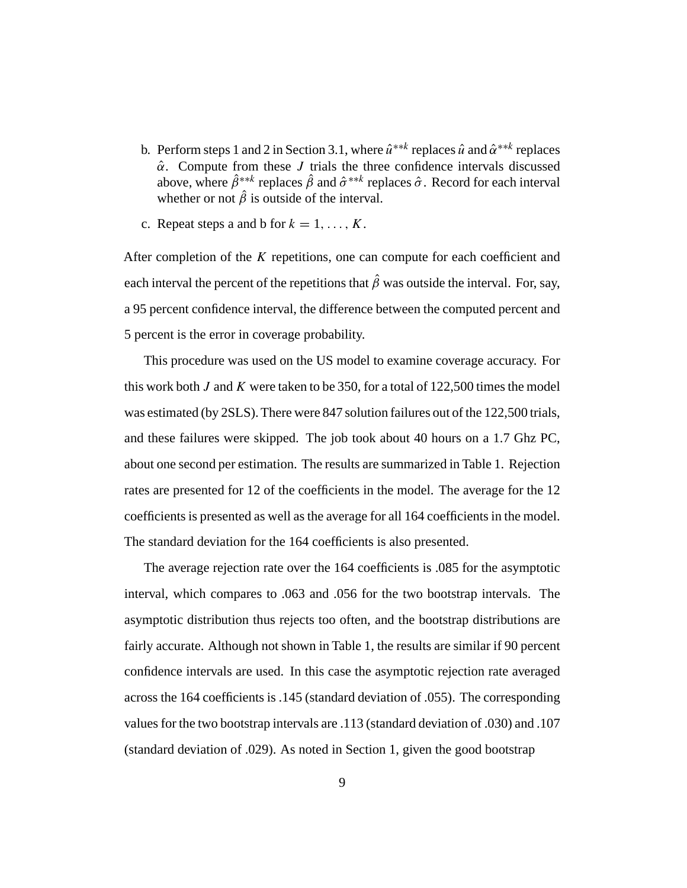- b. Perform steps 1 and 2 in Section 3.1, where  $\hat{u}^{**k}$  replaces  $\hat{u}$  and  $\hat{\alpha}^{**k}$  replaces  $\hat{\alpha}$ . Compute from these *J* trials the three confidence intervals discussed above, where  $\hat{\beta}^{**k}$  replaces  $\hat{\beta}$  and  $\hat{\sigma}^{**k}$  replaces  $\hat{\sigma}$ . Record for each interval whether or not  $\hat{\beta}$  is outside of the interval.
- c. Repeat steps a and b for  $k = 1, \ldots, K$ .

After completion of the K repetitions, one can compute for each coefficient and each interval the percent of the repetitions that  $\hat{\beta}$  was outside the interval. For, say, a 95 percent confidence interval, the difference between the computed percent and 5 percent is the error in coverage probability.

This procedure was used on the US model to examine coverage accuracy. For this work both J and K were taken to be 350, for a total of  $122,500$  times the model was estimated (by 2SLS). There were 847 solution failures out of the 122,500 trials, and these failures were skipped. The job took about 40 hours on a 1.7 Ghz PC, about one second per estimation. The results are summarized in Table 1. Rejection rates are presented for 12 of the coefficients in the model. The average for the 12 coefficients is presented as well as the average for all 164 coefficients in the model. The standard deviation for the 164 coefficients is also presented.

The average rejection rate over the 164 coefficients is .085 for the asymptotic interval, which compares to .063 and .056 for the two bootstrap intervals. The asymptotic distribution thus rejects too often, and the bootstrap distributions are fairly accurate. Although not shown in Table 1, the results are similar if 90 percent confidence intervals are used. In this case the asymptotic rejection rate averaged across the 164 coefficients is .145 (standard deviation of .055). The corresponding values for the two bootstrap intervals are .113 (standard deviation of .030) and .107 (standard deviation of .029). As noted in Section 1, given the good bootstrap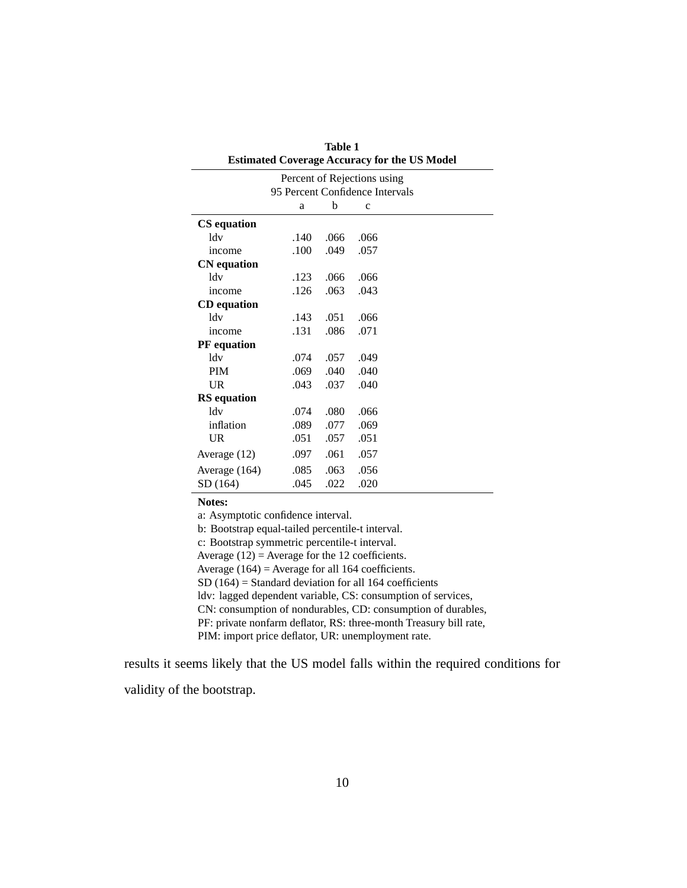|                                                     | <b>Table 1</b> |      |              |  |  |  |  |  |  |
|-----------------------------------------------------|----------------|------|--------------|--|--|--|--|--|--|
| <b>Estimated Coverage Accuracy for the US Model</b> |                |      |              |  |  |  |  |  |  |
| Percent of Rejections using                         |                |      |              |  |  |  |  |  |  |
| 95 Percent Confidence Intervals                     |                |      |              |  |  |  |  |  |  |
|                                                     | a              | b    | $\mathbf{C}$ |  |  |  |  |  |  |
| <b>CS</b> equation                                  |                |      |              |  |  |  |  |  |  |
| ldv                                                 | .140           | .066 | .066         |  |  |  |  |  |  |
| income                                              | .100           | .049 | .057         |  |  |  |  |  |  |
| <b>CN</b> equation                                  |                |      |              |  |  |  |  |  |  |
| 1 <sub>dv</sub>                                     | .123           | .066 | .066         |  |  |  |  |  |  |
| income                                              | .126           | .063 | .043         |  |  |  |  |  |  |
| <b>CD</b> equation                                  |                |      |              |  |  |  |  |  |  |
| ldv                                                 | .143           | .051 | .066         |  |  |  |  |  |  |
| income                                              | .131           | .086 | .071         |  |  |  |  |  |  |
| <b>PF</b> equation                                  |                |      |              |  |  |  |  |  |  |
| ldv                                                 | .074           | .057 | .049         |  |  |  |  |  |  |
| <b>PIM</b>                                          | .069           | .040 | .040         |  |  |  |  |  |  |
| <b>UR</b>                                           | .043           | .037 | .040         |  |  |  |  |  |  |
| <b>RS</b> equation                                  |                |      |              |  |  |  |  |  |  |
| ldv                                                 | .074           | .080 | .066         |  |  |  |  |  |  |
| inflation                                           | .089           | .077 | .069         |  |  |  |  |  |  |
| <b>UR</b>                                           | .051           | .057 | .051         |  |  |  |  |  |  |
| Average (12)                                        | .097           | .061 | .057         |  |  |  |  |  |  |
| Average (164)                                       | .085           | .063 | .056         |  |  |  |  |  |  |
| SD (164)                                            | .045           | .022 | .020         |  |  |  |  |  |  |

**Notes:**

a: Asymptotic confidence interval.

b: Bootstrap equal-tailed percentile-t interval.

c: Bootstrap symmetric percentile-t interval.

Average  $(12)$  = Average for the 12 coefficients.

Average (164) = Average for all 164 coefficients.

SD  $(164)$  = Standard deviation for all 164 coefficients

ldv: lagged dependent variable, CS: consumption of services,

CN: consumption of nondurables, CD: consumption of durables,

PF: private nonfarm deflator, RS: three-month Treasury bill rate,

PIM: import price deflator, UR: unemployment rate.

results it seems likely that the US model falls within the required conditions for validity of the bootstrap.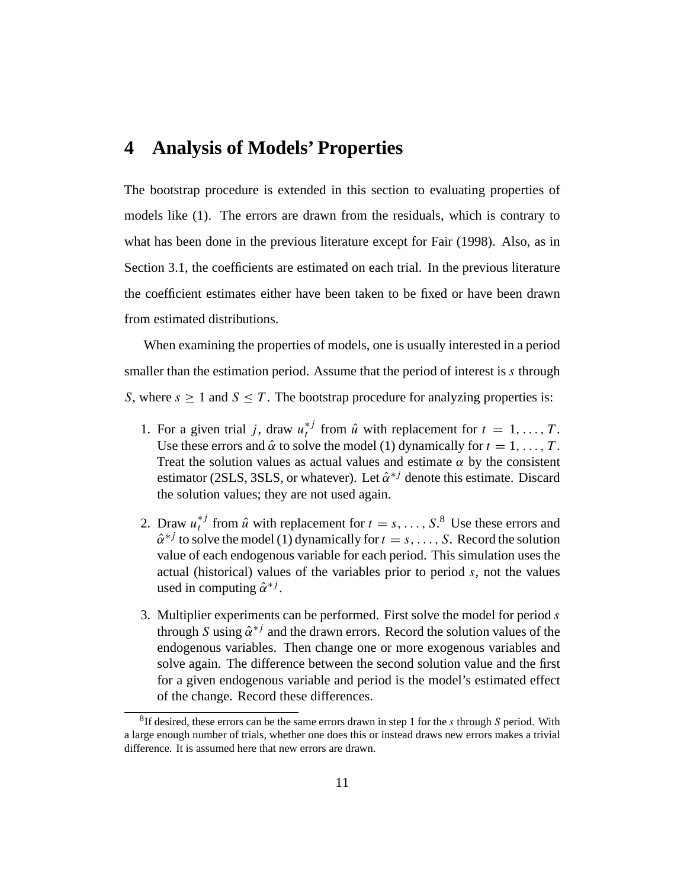### **4 Analysis of Models' Properties**

The bootstrap procedure is extended in this section to evaluating properties of models like (1). The errors are drawn from the residuals, which is contrary to what has been done in the previous literature except for Fair (1998). Also, as in Section 3.1, the coefficients are estimated on each trial. In the previous literature the coefficient estimates either have been taken to be fixed or have been drawn from estimated distributions.

When examining the properties of models, one is usually interested in a period smaller than the estimation period. Assume that the period of interest is s through S, where  $s \ge 1$  and  $S \le T$ . The bootstrap procedure for analyzing properties is:

- 1. For a given trial j, draw  $u_t^{*j}$  from  $\hat{u}$  with replacement for  $t = 1, \ldots, T$ . Use these errors and  $\hat{\alpha}$  to solve the model (1) dynamically for  $t = 1, \ldots, T$ . Treat the solution values as actual values and estimate  $\alpha$  by the consistent estimator (2SLS, 3SLS, or whatever). Let  $\hat{\alpha}^{*j}$  denote this estimate. Discard the solution values; they are not used again.
- 2. Draw  $u_t^{*j}$  from  $\hat{u}$  with replacement for  $t = s, \ldots, S$ .<sup>8</sup> Use these errors and  $\hat{\alpha}^{*j}$  to solve the model (1) dynamically for  $t = s, \ldots, S$ . Record the solution value of each endogenous variable for each period. This simulation uses the actual (historical) values of the variables prior to period s, not the values used in computing  $\hat{\alpha}^{*j}$ .
- 3. Multiplier experiments can be performed. First solve the model for period s through S using  $\hat{\alpha}^{*j}$  and the drawn errors. Record the solution values of the endogenous variables. Then change one or more exogenous variables and solve again. The difference between the second solution value and the first for a given endogenous variable and period is the model's estimated effect of the change. Record these differences.

<sup>&</sup>lt;sup>8</sup>If desired, these errors can be the same errors drawn in step 1 for the s through S period. With a large enough number of trials, whether one does this or instead draws new errors makes a trivial difference. It is assumed here that new errors are drawn.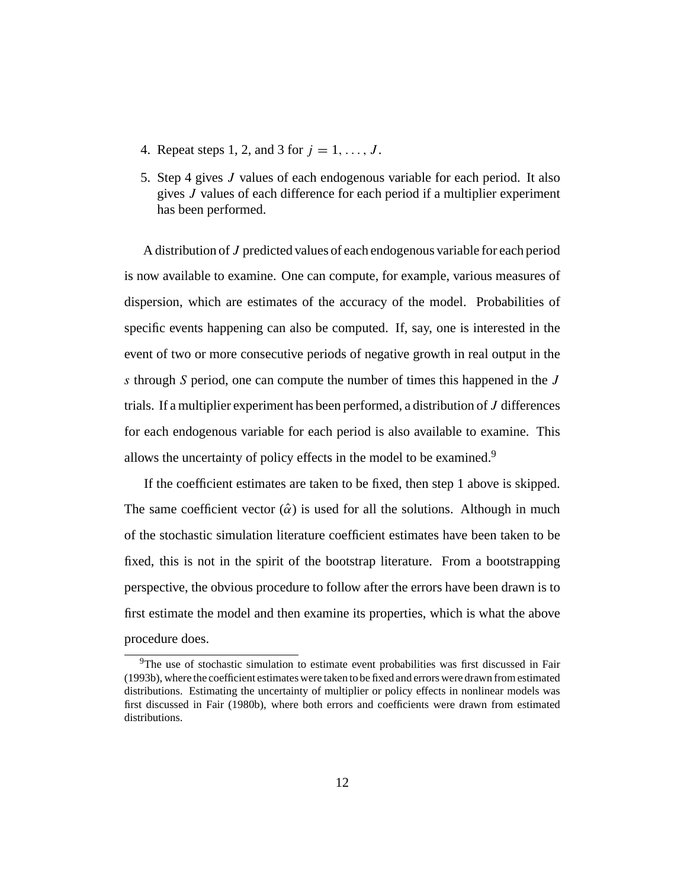- 4. Repeat steps 1, 2, and 3 for  $j = 1, \ldots, J$ .
- 5. Step 4 gives J values of each endogenous variable for each period. It also gives J values of each difference for each period if a multiplier experiment has been performed.

A distribution of J predicted values of each endogenous variable for each period is now available to examine. One can compute, for example, various measures of dispersion, which are estimates of the accuracy of the model. Probabilities of specific events happening can also be computed. If, say, one is interested in the event of two or more consecutive periods of negative growth in real output in the s through S period, one can compute the number of times this happened in the J trials. If a multiplier experiment has been performed, a distribution of J differences for each endogenous variable for each period is also available to examine. This allows the uncertainty of policy effects in the model to be examined.<sup>9</sup>

If the coefficient estimates are taken to be fixed, then step 1 above is skipped. The same coefficient vector  $(\hat{\alpha})$  is used for all the solutions. Although in much of the stochastic simulation literature coefficient estimates have been taken to be fixed, this is not in the spirit of the bootstrap literature. From a bootstrapping perspective, the obvious procedure to follow after the errors have been drawn is to first estimate the model and then examine its properties, which is what the above procedure does.

<sup>&</sup>lt;sup>9</sup>The use of stochastic simulation to estimate event probabilities was first discussed in Fair (1993b), where the coefficient estimates were taken to be fixed and errors were drawn from estimated distributions. Estimating the uncertainty of multiplier or policy effects in nonlinear models was first discussed in Fair (1980b), where both errors and coefficients were drawn from estimated distributions.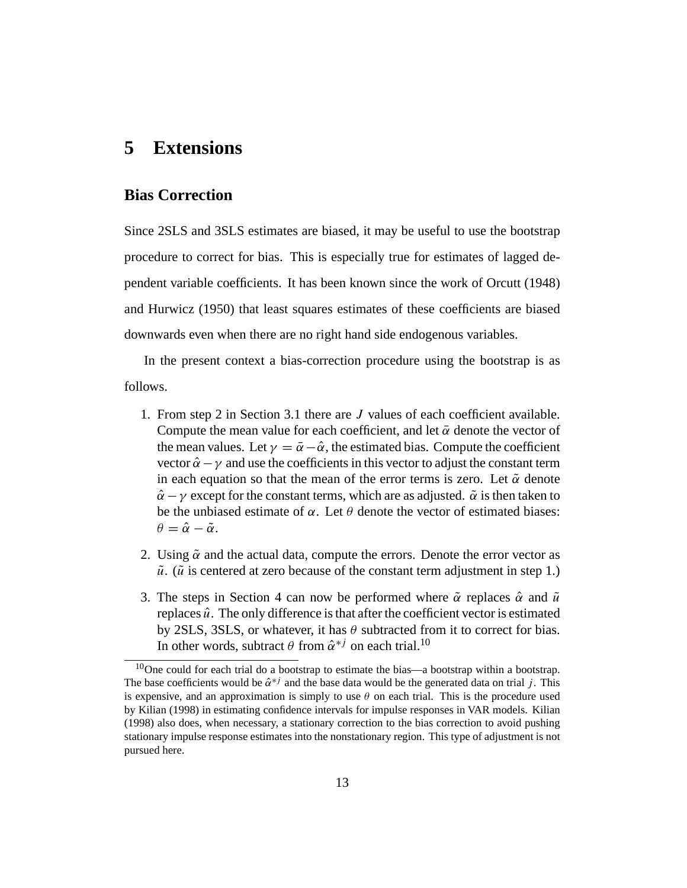### **5 Extensions**

#### **Bias Correction**

Since 2SLS and 3SLS estimates are biased, it may be useful to use the bootstrap procedure to correct for bias. This is especially true for estimates of lagged dependent variable coefficients. It has been known since the work of Orcutt (1948) and Hurwicz (1950) that least squares estimates of these coefficients are biased downwards even when there are no right hand side endogenous variables.

In the present context a bias-correction procedure using the bootstrap is as follows.

- 1. From step 2 in Section 3.1 there are J values of each coefficient available. Compute the mean value for each coefficient, and let  $\bar{\alpha}$  denote the vector of the mean values. Let  $\gamma = \bar{\alpha} - \hat{\alpha}$ , the estimated bias. Compute the coefficient vector  $\hat{\alpha} - \gamma$  and use the coefficients in this vector to adjust the constant term in each equation so that the mean of the error terms is zero. Let  $\tilde{\alpha}$  denote  $\hat{\alpha} - \gamma$  except for the constant terms, which are as adjusted.  $\tilde{\alpha}$  is then taken to be the unbiased estimate of  $\alpha$ . Let  $\theta$  denote the vector of estimated biases:  $\theta = \hat{\alpha} - \tilde{\alpha}.$
- 2. Using  $\tilde{\alpha}$  and the actual data, compute the errors. Denote the error vector as  $\tilde{u}$ . ( $\tilde{u}$  is centered at zero because of the constant term adjustment in step 1.)
- 3. The steps in Section 4 can now be performed where  $\tilde{\alpha}$  replaces  $\hat{\alpha}$  and  $\tilde{u}$ replaces  $\hat{u}$ . The only difference is that after the coefficient vector is estimated by 2SLS, 3SLS, or whatever, it has  $\theta$  subtracted from it to correct for bias. In other words, subtract  $\theta$  from  $\hat{\alpha}^{*j}$  on each trial.<sup>10</sup>

 $10$ One could for each trial do a bootstrap to estimate the bias—a bootstrap within a bootstrap. The base coefficients would be  $\hat{\alpha}^*$  and the base data would be the generated data on trial j. This is expensive, and an approximation is simply to use  $\theta$  on each trial. This is the procedure used by Kilian (1998) in estimating confidence intervals for impulse responses in VAR models. Kilian (1998) also does, when necessary, a stationary correction to the bias correction to avoid pushing stationary impulse response estimates into the nonstationary region. This type of adjustment is not pursued here.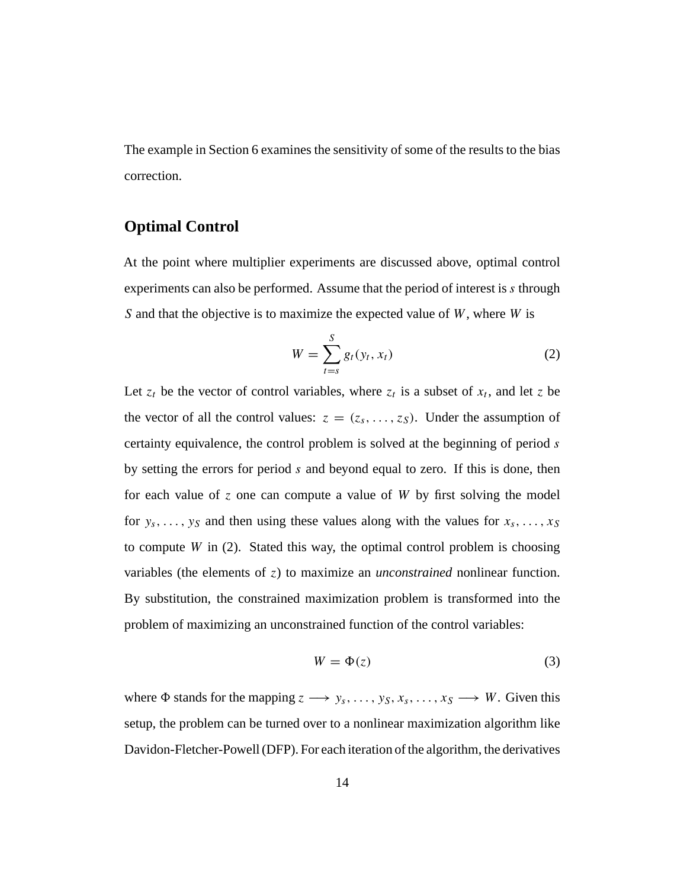The example in Section 6 examines the sensitivity of some of the results to the bias correction.

### **Optimal Control**

At the point where multiplier experiments are discussed above, optimal control experiments can also be performed. Assume that the period of interest is s through S and that the objective is to maximize the expected value of  $W$ , where  $W$  is

$$
W = \sum_{t=s}^{S} g_t(y_t, x_t)
$$
 (2)

Let  $z_t$  be the vector of control variables, where  $z_t$  is a subset of  $x_t$ , and let z be the vector of all the control values:  $z = (z_s, \ldots, z_s)$ . Under the assumption of certainty equivalence, the control problem is solved at the beginning of period s by setting the errors for period s and beyond equal to zero. If this is done, then for each value of  $\zeta$  one can compute a value of W by first solving the model for  $y_s$ , ...,  $y_s$  and then using these values along with the values for  $x_s$ , ...,  $x_s$ to compute  $W$  in (2). Stated this way, the optimal control problem is choosing variables (the elements of z) to maximize an *unconstrained* nonlinear function. By substitution, the constrained maximization problem is transformed into the problem of maximizing an unconstrained function of the control variables:

$$
W = \Phi(z) \tag{3}
$$

where  $\Phi$  stands for the mapping  $z \rightarrow y_s, \ldots, y_S, x_s, \ldots, x_S \rightarrow W$ . Given this setup, the problem can be turned over to a nonlinear maximization algorithm like Davidon-Fletcher-Powell (DFP). For each iteration of the algorithm, the derivatives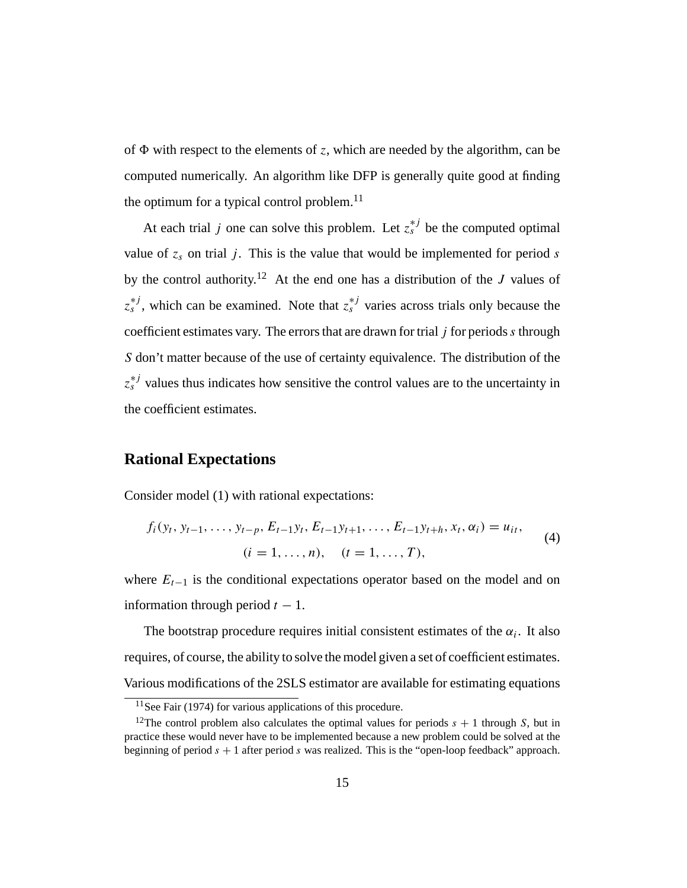of  $\Phi$  with respect to the elements of z, which are needed by the algorithm, can be computed numerically. An algorithm like DFP is generally quite good at finding the optimum for a typical control problem. $^{11}$ 

At each trial j one can solve this problem. Let  $z_s^{*j}$  be the computed optimal value of  $z_s$  on trial j. This is the value that would be implemented for period s by the control authority.<sup>12</sup> At the end one has a distribution of the J values of  $z_s^{*j}$ , which can be examined. Note that  $z_s^{*j}$  varies across trials only because the coefficient estimates vary. The errors that are drawn for trial  $j$  for periods  $s$  through S don't matter because of the use of certainty equivalence. The distribution of the  $z_s^{*j}$  values thus indicates how sensitive the control values are to the uncertainty in the coefficient estimates.

#### **Rational Expectations**

Consider model (1) with rational expectations:

$$
f_i(y_t, y_{t-1}, \dots, y_{t-p}, E_{t-1}y_t, E_{t-1}y_{t+1}, \dots, E_{t-1}y_{t+h}, x_t, \alpha_i) = u_{it},
$$
  
(4)  

$$
(i = 1, \dots, n), \quad (t = 1, \dots, T),
$$

where  $E_{t-1}$  is the conditional expectations operator based on the model and on information through period  $t - 1$ .

The bootstrap procedure requires initial consistent estimates of the  $\alpha_i$ . It also requires, of course, the ability to solve the model given a set of coefficient estimates. Various modifications of the 2SLS estimator are available for estimating equations

 $11$ See Fair (1974) for various applications of this procedure.

<sup>&</sup>lt;sup>12</sup>The control problem also calculates the optimal values for periods  $s + 1$  through S, but in practice these would never have to be implemented because a new problem could be solved at the beginning of period  $s + 1$  after period s was realized. This is the "open-loop feedback" approach.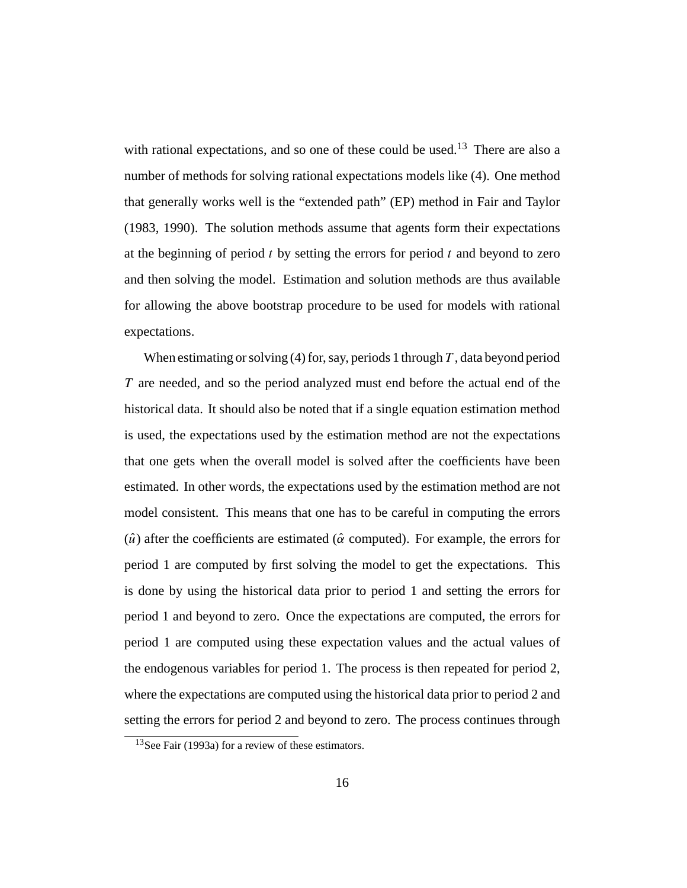with rational expectations, and so one of these could be used.<sup>13</sup> There are also a number of methods for solving rational expectations models like (4). One method that generally works well is the "extended path" (EP) method in Fair and Taylor (1983, 1990). The solution methods assume that agents form their expectations at the beginning of period  $t$  by setting the errors for period  $t$  and beyond to zero and then solving the model. Estimation and solution methods are thus available for allowing the above bootstrap procedure to be used for models with rational expectations.

When estimating or solving (4) for, say, periods 1 through  $T$ , data beyond period T are needed, and so the period analyzed must end before the actual end of the historical data. It should also be noted that if a single equation estimation method is used, the expectations used by the estimation method are not the expectations that one gets when the overall model is solved after the coefficients have been estimated. In other words, the expectations used by the estimation method are not model consistent. This means that one has to be careful in computing the errors ( $\hat{u}$ ) after the coefficients are estimated ( $\hat{\alpha}$  computed). For example, the errors for period 1 are computed by first solving the model to get the expectations. This is done by using the historical data prior to period 1 and setting the errors for period 1 and beyond to zero. Once the expectations are computed, the errors for period 1 are computed using these expectation values and the actual values of the endogenous variables for period 1. The process is then repeated for period 2, where the expectations are computed using the historical data prior to period 2 and setting the errors for period 2 and beyond to zero. The process continues through

<sup>13</sup>See Fair (1993a) for a review of these estimators.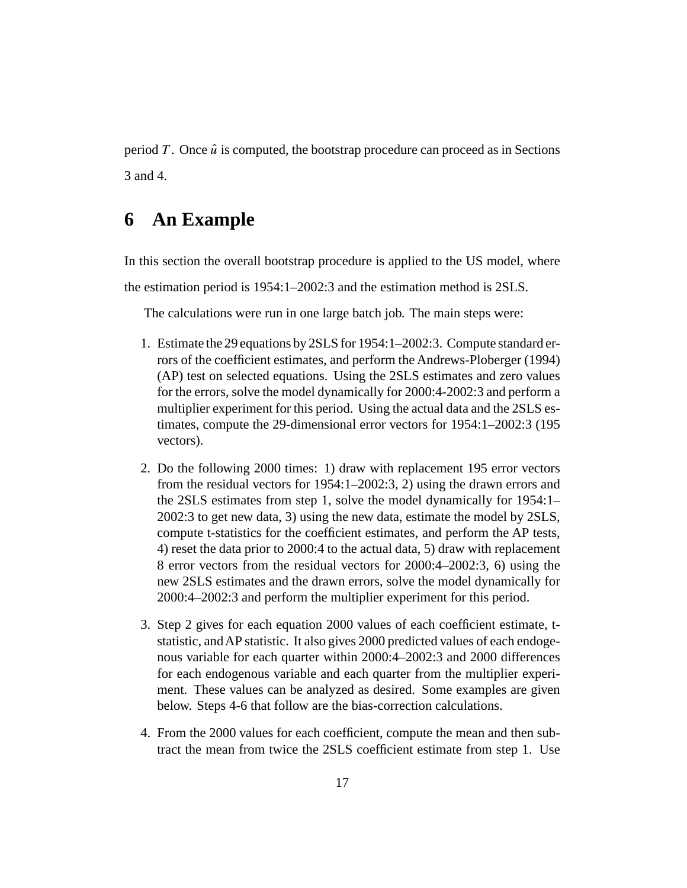period T. Once  $\hat{u}$  is computed, the bootstrap procedure can proceed as in Sections 3 and 4.

### **6 An Example**

In this section the overall bootstrap procedure is applied to the US model, where the estimation period is 1954:1–2002:3 and the estimation method is 2SLS.

The calculations were run in one large batch job. The main steps were:

- 1. Estimate the 29 equations by 2SLS for 1954:1–2002:3. Compute standard errors of the coefficient estimates, and perform the Andrews-Ploberger (1994) (AP) test on selected equations. Using the 2SLS estimates and zero values for the errors, solve the model dynamically for 2000:4-2002:3 and perform a multiplier experiment for this period. Using the actual data and the 2SLS estimates, compute the 29-dimensional error vectors for 1954:1–2002:3 (195 vectors).
- 2. Do the following 2000 times: 1) draw with replacement 195 error vectors from the residual vectors for 1954:1–2002:3, 2) using the drawn errors and the 2SLS estimates from step 1, solve the model dynamically for 1954:1– 2002:3 to get new data, 3) using the new data, estimate the model by 2SLS, compute t-statistics for the coefficient estimates, and perform the AP tests, 4) reset the data prior to 2000:4 to the actual data, 5) draw with replacement 8 error vectors from the residual vectors for 2000:4–2002:3, 6) using the new 2SLS estimates and the drawn errors, solve the model dynamically for 2000:4–2002:3 and perform the multiplier experiment for this period.
- 3. Step 2 gives for each equation 2000 values of each coefficient estimate, tstatistic, and AP statistic. It also gives 2000 predicted values of each endogenous variable for each quarter within 2000:4–2002:3 and 2000 differences for each endogenous variable and each quarter from the multiplier experiment. These values can be analyzed as desired. Some examples are given below. Steps 4-6 that follow are the bias-correction calculations.
- 4. From the 2000 values for each coefficient, compute the mean and then subtract the mean from twice the 2SLS coefficient estimate from step 1. Use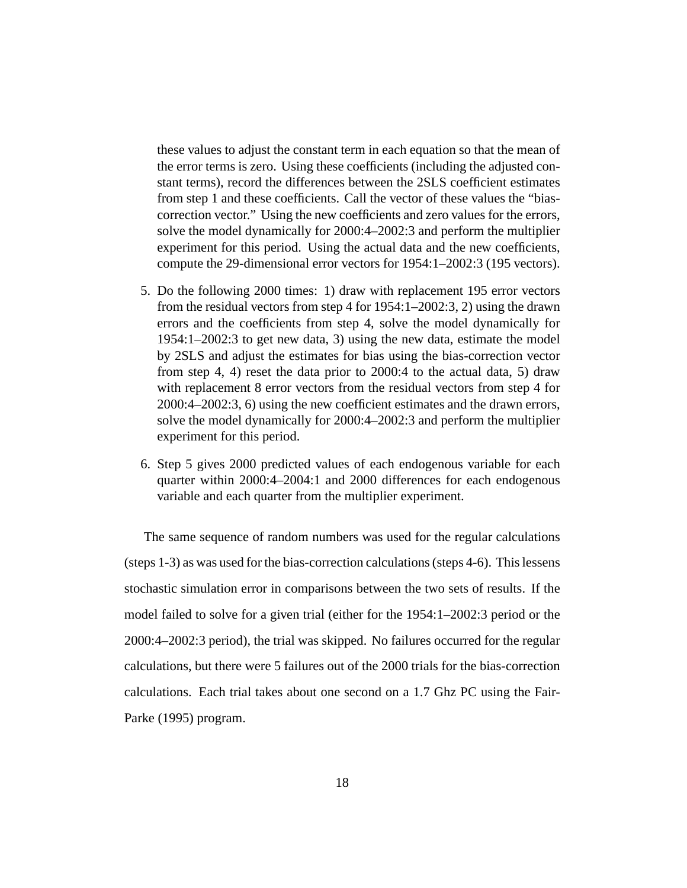these values to adjust the constant term in each equation so that the mean of the error terms is zero. Using these coefficients (including the adjusted constant terms), record the differences between the 2SLS coefficient estimates from step 1 and these coefficients. Call the vector of these values the "biascorrection vector." Using the new coefficients and zero values for the errors, solve the model dynamically for 2000:4–2002:3 and perform the multiplier experiment for this period. Using the actual data and the new coefficients, compute the 29-dimensional error vectors for 1954:1–2002:3 (195 vectors).

- 5. Do the following 2000 times: 1) draw with replacement 195 error vectors from the residual vectors from step 4 for 1954:1–2002:3, 2) using the drawn errors and the coefficients from step 4, solve the model dynamically for 1954:1–2002:3 to get new data, 3) using the new data, estimate the model by 2SLS and adjust the estimates for bias using the bias-correction vector from step 4, 4) reset the data prior to 2000:4 to the actual data, 5) draw with replacement 8 error vectors from the residual vectors from step 4 for 2000:4–2002:3, 6) using the new coefficient estimates and the drawn errors, solve the model dynamically for 2000:4–2002:3 and perform the multiplier experiment for this period.
- 6. Step 5 gives 2000 predicted values of each endogenous variable for each quarter within 2000:4–2004:1 and 2000 differences for each endogenous variable and each quarter from the multiplier experiment.

The same sequence of random numbers was used for the regular calculations (steps 1-3) as was used for the bias-correction calculations (steps 4-6). This lessens stochastic simulation error in comparisons between the two sets of results. If the model failed to solve for a given trial (either for the 1954:1–2002:3 period or the 2000:4–2002:3 period), the trial was skipped. No failures occurred for the regular calculations, but there were 5 failures out of the 2000 trials for the bias-correction calculations. Each trial takes about one second on a 1.7 Ghz PC using the Fair-Parke (1995) program.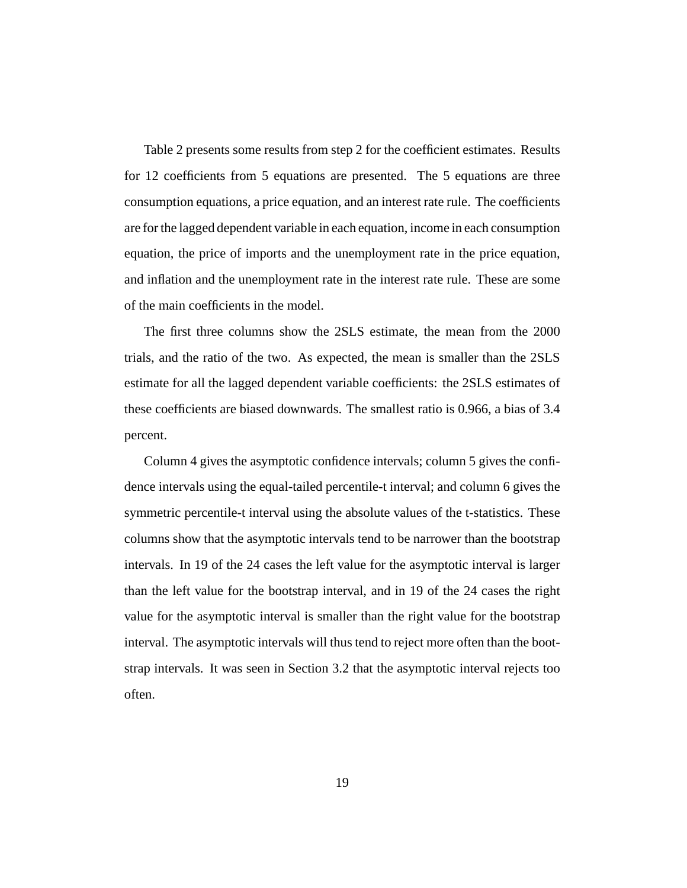Table 2 presents some results from step 2 for the coefficient estimates. Results for 12 coefficients from 5 equations are presented. The 5 equations are three consumption equations, a price equation, and an interest rate rule. The coefficients are for the lagged dependent variable in each equation, income in each consumption equation, the price of imports and the unemployment rate in the price equation, and inflation and the unemployment rate in the interest rate rule. These are some of the main coefficients in the model.

The first three columns show the 2SLS estimate, the mean from the 2000 trials, and the ratio of the two. As expected, the mean is smaller than the 2SLS estimate for all the lagged dependent variable coefficients: the 2SLS estimates of these coefficients are biased downwards. The smallest ratio is 0.966, a bias of 3.4 percent.

Column 4 gives the asymptotic confidence intervals; column 5 gives the confidence intervals using the equal-tailed percentile-t interval; and column 6 gives the symmetric percentile-t interval using the absolute values of the t-statistics. These columns show that the asymptotic intervals tend to be narrower than the bootstrap intervals. In 19 of the 24 cases the left value for the asymptotic interval is larger than the left value for the bootstrap interval, and in 19 of the 24 cases the right value for the asymptotic interval is smaller than the right value for the bootstrap interval. The asymptotic intervals will thus tend to reject more often than the bootstrap intervals. It was seen in Section 3.2 that the asymptotic interval rejects too often.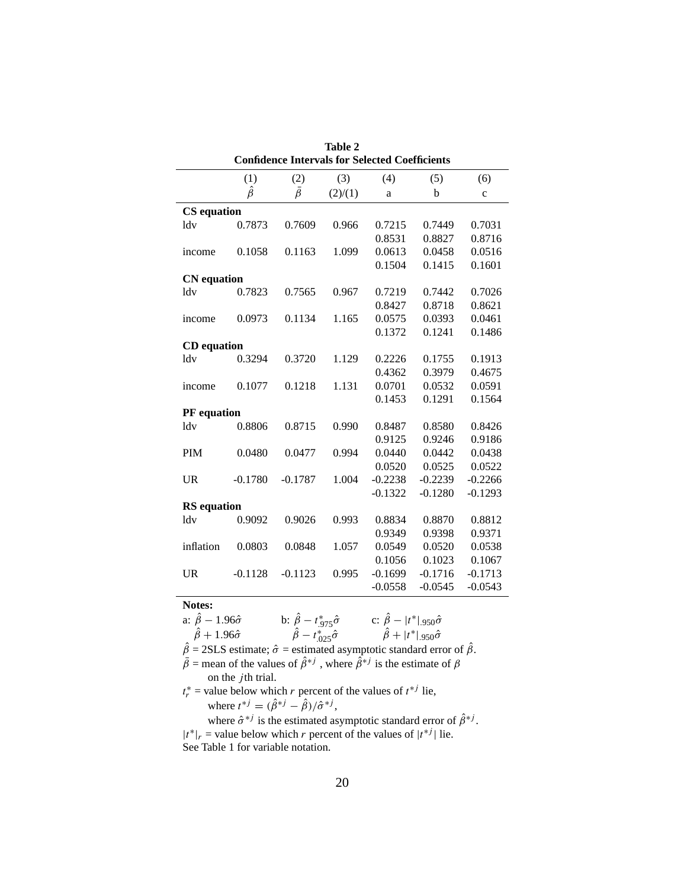|                    | Tadie <i>4</i><br><b>Confidence Intervals for Selected Coefficients</b> |               |         |           |           |              |  |  |  |  |  |
|--------------------|-------------------------------------------------------------------------|---------------|---------|-----------|-----------|--------------|--|--|--|--|--|
|                    | (1)<br>(2)<br>(3)<br>(4)<br>(5)<br>(6)                                  |               |         |           |           |              |  |  |  |  |  |
|                    | $\hat{\beta}$                                                           | $\bar{\beta}$ | (2)/(1) | a         | b         | $\mathbf{C}$ |  |  |  |  |  |
| <b>CS</b> equation |                                                                         |               |         |           |           |              |  |  |  |  |  |
| ldv                | 0.7873                                                                  | 0.7609        | 0.966   | 0.7215    | 0.7449    | 0.7031       |  |  |  |  |  |
|                    |                                                                         |               |         | 0.8531    | 0.8827    | 0.8716       |  |  |  |  |  |
| income             | 0.1058                                                                  | 0.1163        | 1.099   | 0.0613    | 0.0458    | 0.0516       |  |  |  |  |  |
|                    |                                                                         |               |         | 0.1504    | 0.1415    | 0.1601       |  |  |  |  |  |
|                    | <b>CN</b> equation                                                      |               |         |           |           |              |  |  |  |  |  |
| ldv                | 0.7823                                                                  | 0.7565        | 0.967   | 0.7219    | 0.7442    | 0.7026       |  |  |  |  |  |
|                    |                                                                         |               |         | 0.8427    | 0.8718    | 0.8621       |  |  |  |  |  |
| income             | 0.0973                                                                  | 0.1134        | 1.165   | 0.0575    | 0.0393    | 0.0461       |  |  |  |  |  |
|                    |                                                                         |               |         | 0.1372    | 0.1241    | 0.1486       |  |  |  |  |  |
| <b>CD</b> equation |                                                                         |               |         |           |           |              |  |  |  |  |  |
| ldv                | 0.3294                                                                  | 0.3720        | 1.129   | 0.2226    | 0.1755    | 0.1913       |  |  |  |  |  |
|                    |                                                                         |               |         | 0.4362    | 0.3979    | 0.4675       |  |  |  |  |  |
| income             | 0.1077                                                                  | 0.1218        | 1.131   | 0.0701    | 0.0532    | 0.0591       |  |  |  |  |  |
|                    |                                                                         |               |         | 0.1453    | 0.1291    | 0.1564       |  |  |  |  |  |
| <b>PF</b> equation |                                                                         |               |         |           |           |              |  |  |  |  |  |
| ldv                | 0.8806                                                                  | 0.8715        | 0.990   | 0.8487    | 0.8580    | 0.8426       |  |  |  |  |  |
|                    |                                                                         |               |         | 0.9125    | 0.9246    | 0.9186       |  |  |  |  |  |
| <b>PIM</b>         | 0.0480                                                                  | 0.0477        | 0.994   | 0.0440    | 0.0442    | 0.0438       |  |  |  |  |  |
|                    |                                                                         |               |         | 0.0520    | 0.0525    | 0.0522       |  |  |  |  |  |
| <b>UR</b>          | $-0.1780$                                                               | $-0.1787$     | 1.004   | $-0.2238$ | $-0.2239$ | $-0.2266$    |  |  |  |  |  |
|                    |                                                                         |               |         | $-0.1322$ | $-0.1280$ | $-0.1293$    |  |  |  |  |  |
| <b>RS</b> equation |                                                                         |               |         |           |           |              |  |  |  |  |  |
| ldy                | 0.9092                                                                  | 0.9026        | 0.993   | 0.8834    | 0.8870    | 0.8812       |  |  |  |  |  |
|                    |                                                                         |               |         | 0.9349    | 0.9398    | 0.9371       |  |  |  |  |  |
| inflation          | 0.0803                                                                  | 0.0848        | 1.057   | 0.0549    | 0.0520    | 0.0538       |  |  |  |  |  |
|                    |                                                                         |               |         | 0.1056    | 0.1023    | 0.1067       |  |  |  |  |  |
| $_{\text{UR}}$     | $-0.1128$                                                               | $-0.1123$     | 0.995   | $-0.1699$ | $-0.1716$ | $-0.1713$    |  |  |  |  |  |
|                    |                                                                         |               |         | $-0.0558$ | $-0.0545$ | $-0.0543$    |  |  |  |  |  |
| Notes:             |                                                                         |               |         |           |           |              |  |  |  |  |  |

| <b>Table 2</b>                                 |  |  |  |  |  |  |  |
|------------------------------------------------|--|--|--|--|--|--|--|
| Confidence Intervals for Selected Coefficients |  |  |  |  |  |  |  |

a:  $\hat{\beta}$  − 1.96 $\hat{\sigma}$  b:  $\hat{\beta}$  −  $t_{.975}^* \hat{\sigma}$  c:  $\hat{\beta}$  −  $|t^*|$  .950 $\hat{\sigma}$  $\ddot{\beta} + 1.96\hat{\sigma}$   $\qquad \ddot{\beta} - t_{.025}^* \hat{\sigma}$   $\qquad \ddot{\beta} + |t^*|_{.950} \hat{\sigma}$  $\hat{\beta}$  = 2SLS estimate;  $\hat{\sigma}$  = estimated asymptotic standard error of  $\hat{\beta}$ .  $\bar{\beta}$  = mean of the values of  $\hat{\beta}^{*j}$ , where  $\hat{\beta}^{*j}$  is the estimate of  $\beta$ on the  $j$ th trial.  $t_r^*$  = value below which r percent of the values of  $t^{*j}$  lie, where  $t^{*j} = (\hat{\beta}^{*j} - \hat{\beta})/\hat{\sigma}^{*j}$ , where  $\hat{\sigma}^{*j}$  is the estimated asymptotic standard error of  $\hat{\beta}^{*j}$ .

 $|t^*|_r$  = value below which r percent of the values of  $|t^{*j}|$  lie. See Table 1 for variable notation.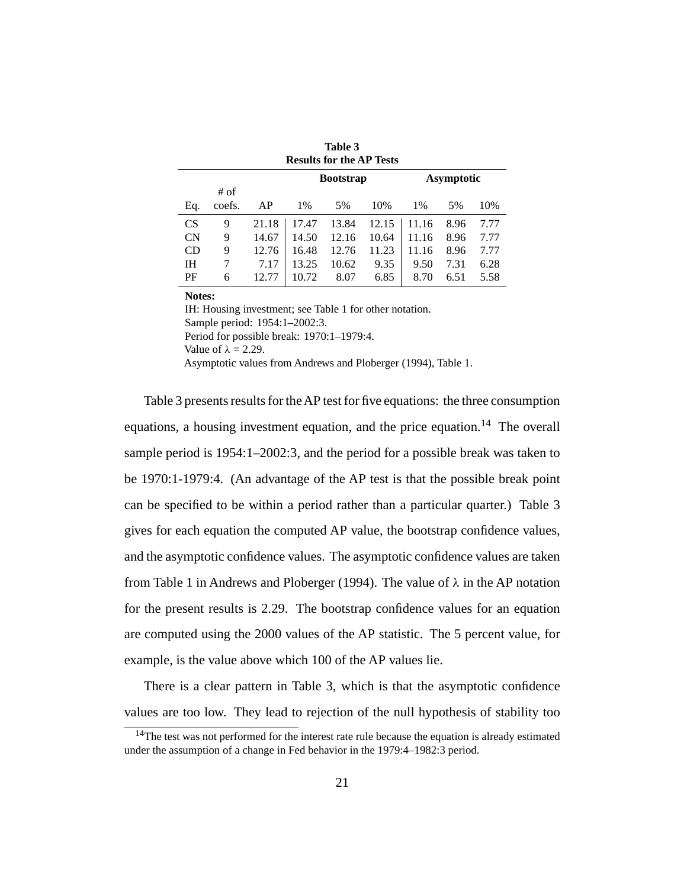| <b>Results for the AP Tests</b> |                  |       |       |       |       |       |      |      |  |  |  |
|---------------------------------|------------------|-------|-------|-------|-------|-------|------|------|--|--|--|
| <b>Bootstrap</b><br>Asymptotic  |                  |       |       |       |       |       |      |      |  |  |  |
| Eq.                             | $#$ of<br>coefs. | AP    | 1%    | 5%    | 10%   | $1\%$ | 5%   | 10%  |  |  |  |
| <b>CS</b>                       | 9                | 21.18 | 17.47 | 13.84 | 12.15 | 11.16 | 8.96 | 7.77 |  |  |  |
| <b>CN</b>                       | 9                | 14.67 | 14.50 | 12.16 | 10.64 | 11.16 | 8.96 | 7.77 |  |  |  |
| CD                              | 9                | 12.76 | 16.48 | 12.76 | 11.23 | 11.16 | 8.96 | 7.77 |  |  |  |
| IΗ                              | 7                | 7.17  | 13.25 | 10.62 | 9.35  | 9.50  | 7.31 | 6.28 |  |  |  |
| PF                              | 6                | 12.77 | 10.72 | 8.07  | 6.85  | 8.70  | 6.51 | 5.58 |  |  |  |

**Table 3**

**Notes:**

IH: Housing investment; see Table 1 for other notation. Sample period: 1954:1–2002:3. Period for possible break: 1970:1–1979:4. Value of  $\lambda = 2.29$ . Asymptotic values from Andrews and Ploberger (1994), Table 1.

Table 3 presents results for theAP test for five equations: the three consumption equations, a housing investment equation, and the price equation.<sup>14</sup> The overall sample period is 1954:1–2002:3, and the period for a possible break was taken to be 1970:1-1979:4. (An advantage of the AP test is that the possible break point can be specified to be within a period rather than a particular quarter.) Table 3 gives for each equation the computed AP value, the bootstrap confidence values, and the asymptotic confidence values. The asymptotic confidence values are taken from Table 1 in Andrews and Ploberger (1994). The value of  $\lambda$  in the AP notation for the present results is 2.29. The bootstrap confidence values for an equation are computed using the 2000 values of the AP statistic. The 5 percent value, for example, is the value above which 100 of the AP values lie.

There is a clear pattern in Table 3, which is that the asymptotic confidence values are too low. They lead to rejection of the null hypothesis of stability too

<sup>&</sup>lt;sup>14</sup>The test was not performed for the interest rate rule because the equation is already estimated under the assumption of a change in Fed behavior in the 1979:4–1982:3 period.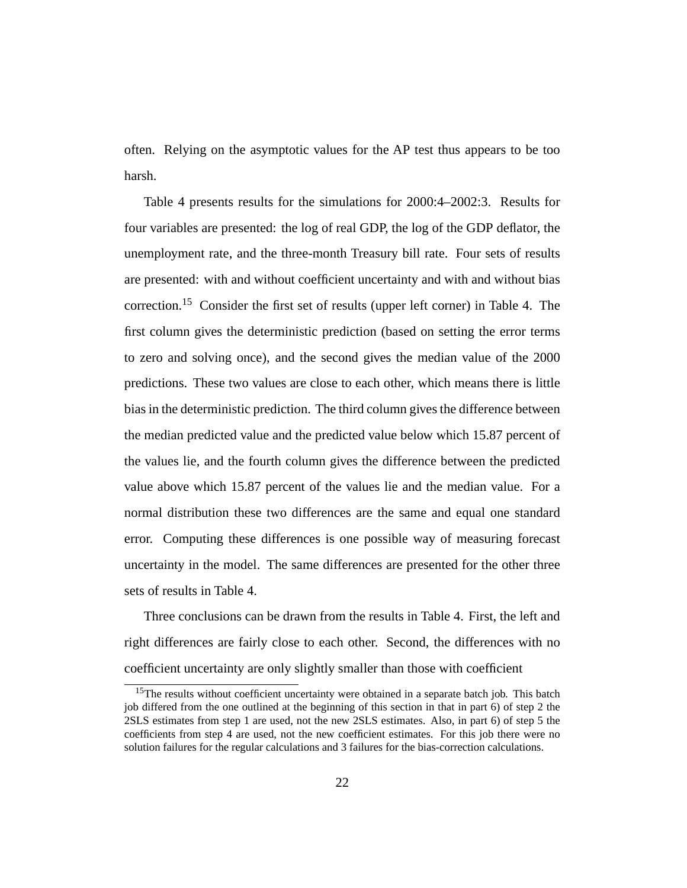often. Relying on the asymptotic values for the AP test thus appears to be too harsh.

Table 4 presents results for the simulations for 2000:4–2002:3. Results for four variables are presented: the log of real GDP, the log of the GDP deflator, the unemployment rate, and the three-month Treasury bill rate. Four sets of results are presented: with and without coefficient uncertainty and with and without bias correction.15 Consider the first set of results (upper left corner) in Table 4. The first column gives the deterministic prediction (based on setting the error terms to zero and solving once), and the second gives the median value of the 2000 predictions. These two values are close to each other, which means there is little bias in the deterministic prediction. The third column gives the difference between the median predicted value and the predicted value below which 15.87 percent of the values lie, and the fourth column gives the difference between the predicted value above which 15.87 percent of the values lie and the median value. For a normal distribution these two differences are the same and equal one standard error. Computing these differences is one possible way of measuring forecast uncertainty in the model. The same differences are presented for the other three sets of results in Table 4.

Three conclusions can be drawn from the results in Table 4. First, the left and right differences are fairly close to each other. Second, the differences with no coefficient uncertainty are only slightly smaller than those with coefficient

<sup>&</sup>lt;sup>15</sup>The results without coefficient uncertainty were obtained in a separate batch job. This batch job differed from the one outlined at the beginning of this section in that in part 6) of step 2 the 2SLS estimates from step 1 are used, not the new 2SLS estimates. Also, in part 6) of step 5 the coefficients from step 4 are used, not the new coefficient estimates. For this job there were no solution failures for the regular calculations and 3 failures for the bias-correction calculations.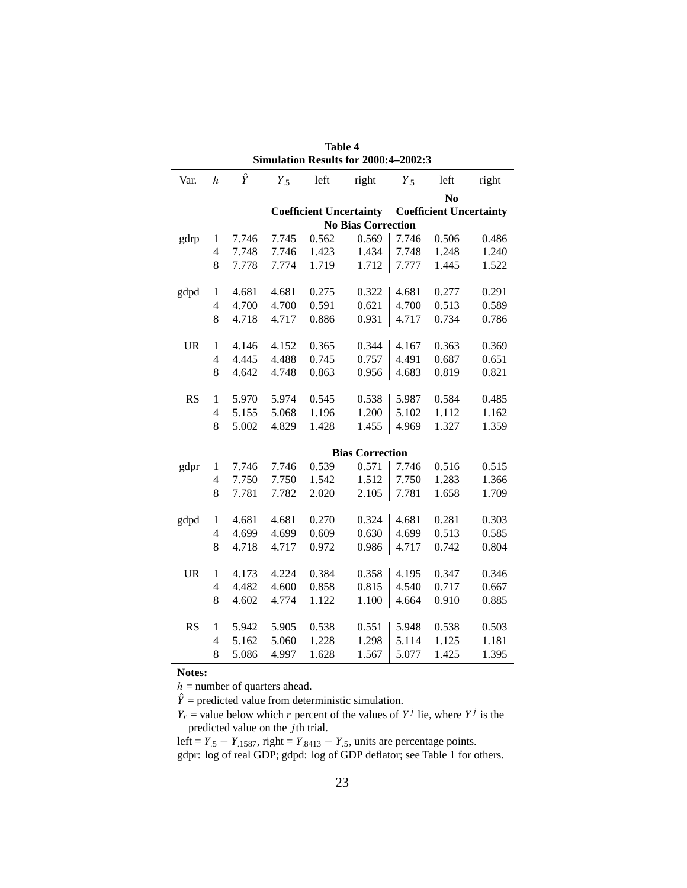| Var.                           | $\boldsymbol{h}$         | $\hat{Y}$ | $Y_{.5}$                  | left  | right                  | $Y_{.5}$ | left                           | right |  |  |
|--------------------------------|--------------------------|-----------|---------------------------|-------|------------------------|----------|--------------------------------|-------|--|--|
|                                | N <sub>0</sub>           |           |                           |       |                        |          |                                |       |  |  |
| <b>Coefficient Uncertainty</b> |                          |           |                           |       |                        |          | <b>Coefficient Uncertainty</b> |       |  |  |
|                                |                          |           | <b>No Bias Correction</b> |       |                        |          |                                |       |  |  |
| gdrp                           | 1                        | 7.746     | 7.745                     | 0.562 | 0.569                  | 7.746    | 0.506                          | 0.486 |  |  |
|                                | $\overline{\mathcal{L}}$ | 7.748     | 7.746                     | 1.423 | 1.434                  | 7.748    | 1.248                          | 1.240 |  |  |
|                                | 8                        | 7.778     | 7.774                     | 1.719 | 1.712                  | 7.777    | 1.445                          | 1.522 |  |  |
|                                |                          |           |                           |       |                        |          |                                |       |  |  |
| gdpd                           | $\mathbf{1}$             | 4.681     | 4.681                     | 0.275 | 0.322                  | 4.681    | 0.277                          | 0.291 |  |  |
|                                | $\overline{\mathcal{L}}$ | 4.700     | 4.700                     | 0.591 | 0.621                  | 4.700    | 0.513                          | 0.589 |  |  |
|                                | 8                        | 4.718     | 4.717                     | 0.886 | 0.931                  | 4.717    | 0.734                          | 0.786 |  |  |
|                                |                          |           |                           |       |                        |          |                                |       |  |  |
| <b>UR</b>                      | $\mathbf{1}$             | 4.146     | 4.152                     | 0.365 | 0.344                  | 4.167    | 0.363                          | 0.369 |  |  |
|                                | $\overline{4}$           | 4.445     | 4.488                     | 0.745 | 0.757                  | 4.491    | 0.687                          | 0.651 |  |  |
|                                | 8                        | 4.642     | 4.748                     | 0.863 | 0.956                  | 4.683    | 0.819                          | 0.821 |  |  |
|                                |                          |           |                           |       |                        |          |                                |       |  |  |
| <b>RS</b>                      | $\mathbf{1}$             | 5.970     | 5.974                     | 0.545 | 0.538                  | 5.987    | 0.584                          | 0.485 |  |  |
|                                | $\overline{4}$           | 5.155     | 5.068                     | 1.196 | 1.200                  | 5.102    | 1.112                          | 1.162 |  |  |
|                                | 8                        | 5.002     | 4.829                     | 1.428 | 1.455                  | 4.969    | 1.327                          | 1.359 |  |  |
|                                |                          |           |                           |       |                        |          |                                |       |  |  |
|                                |                          |           |                           |       | <b>Bias Correction</b> |          |                                |       |  |  |
| gdpr                           | 1                        | 7.746     | 7.746                     | 0.539 | 0.571                  | 7.746    | 0.516                          | 0.515 |  |  |
|                                | $\overline{4}$           | 7.750     | 7.750                     | 1.542 | 1.512                  | 7.750    | 1.283                          | 1.366 |  |  |
|                                | 8                        | 7.781     | 7.782                     | 2.020 | 2.105                  | 7.781    | 1.658                          | 1.709 |  |  |
|                                |                          |           |                           |       |                        |          |                                |       |  |  |
| gdpd                           | $\mathbf{1}$             | 4.681     | 4.681                     | 0.270 | 0.324                  | 4.681    | 0.281                          | 0.303 |  |  |
|                                | $\overline{\mathcal{L}}$ | 4.699     | 4.699                     | 0.609 | 0.630                  | 4.699    | 0.513                          | 0.585 |  |  |
|                                | 8                        | 4.718     | 4.717                     | 0.972 | 0.986                  | 4.717    | 0.742                          | 0.804 |  |  |
|                                |                          |           |                           |       |                        |          |                                |       |  |  |
| <b>UR</b>                      | $\mathbf{1}$             | 4.173     | 4.224                     | 0.384 | 0.358                  | 4.195    | 0.347                          | 0.346 |  |  |
|                                | 4                        | 4.482     | 4.600                     | 0.858 | 0.815                  | 4.540    | 0.717                          | 0.667 |  |  |
|                                | 8                        | 4.602     | 4.774                     | 1.122 | 1.100                  | 4.664    | 0.910                          | 0.885 |  |  |
|                                |                          |           |                           |       |                        |          |                                |       |  |  |
| <b>RS</b>                      | 1                        | 5.942     | 5.905                     | 0.538 | 0.551                  | 5.948    | 0.538                          | 0.503 |  |  |
|                                | $\overline{\mathcal{L}}$ | 5.162     | 5.060                     | 1.228 | 1.298                  | 5.114    | 1.125                          | 1.181 |  |  |
|                                | 8                        | 5.086     | 4.997                     | 1.628 | 1.567                  | 5.077    | 1.425                          | 1.395 |  |  |

**Table 4 Simulation Results for 2000:4–2002:3**

**Notes:**

 $h =$  number of quarters ahead.

 $\ddot{Y}$  = predicted value from deterministic simulation.

 $Y_r$  = value below which r percent of the values of  $Y^j$  lie, where  $Y^j$  is the predicted value on the  $\overrightarrow{j}$ th trial.

left =  $Y_{.5} - Y_{.1587}$ , right =  $Y_{.8413} - Y_{.5}$ , units are percentage points. gdpr: log of real GDP; gdpd: log of GDP deflator; see Table 1 for others.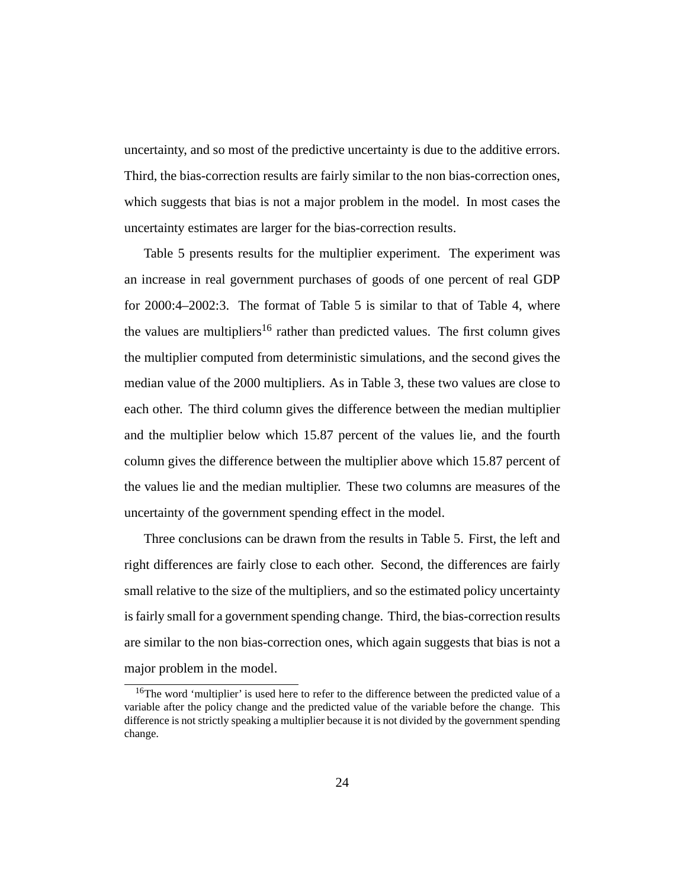uncertainty, and so most of the predictive uncertainty is due to the additive errors. Third, the bias-correction results are fairly similar to the non bias-correction ones, which suggests that bias is not a major problem in the model. In most cases the uncertainty estimates are larger for the bias-correction results.

Table 5 presents results for the multiplier experiment. The experiment was an increase in real government purchases of goods of one percent of real GDP for 2000:4–2002:3. The format of Table 5 is similar to that of Table 4, where the values are multipliers<sup>16</sup> rather than predicted values. The first column gives the multiplier computed from deterministic simulations, and the second gives the median value of the 2000 multipliers. As in Table 3, these two values are close to each other. The third column gives the difference between the median multiplier and the multiplier below which 15.87 percent of the values lie, and the fourth column gives the difference between the multiplier above which 15.87 percent of the values lie and the median multiplier. These two columns are measures of the uncertainty of the government spending effect in the model.

Three conclusions can be drawn from the results in Table 5. First, the left and right differences are fairly close to each other. Second, the differences are fairly small relative to the size of the multipliers, and so the estimated policy uncertainty is fairly small for a government spending change. Third, the bias-correction results are similar to the non bias-correction ones, which again suggests that bias is not a major problem in the model.

<sup>&</sup>lt;sup>16</sup>The word 'multiplier' is used here to refer to the difference between the predicted value of a variable after the policy change and the predicted value of the variable before the change. This difference is not strictly speaking a multiplier because it is not divided by the government spending change.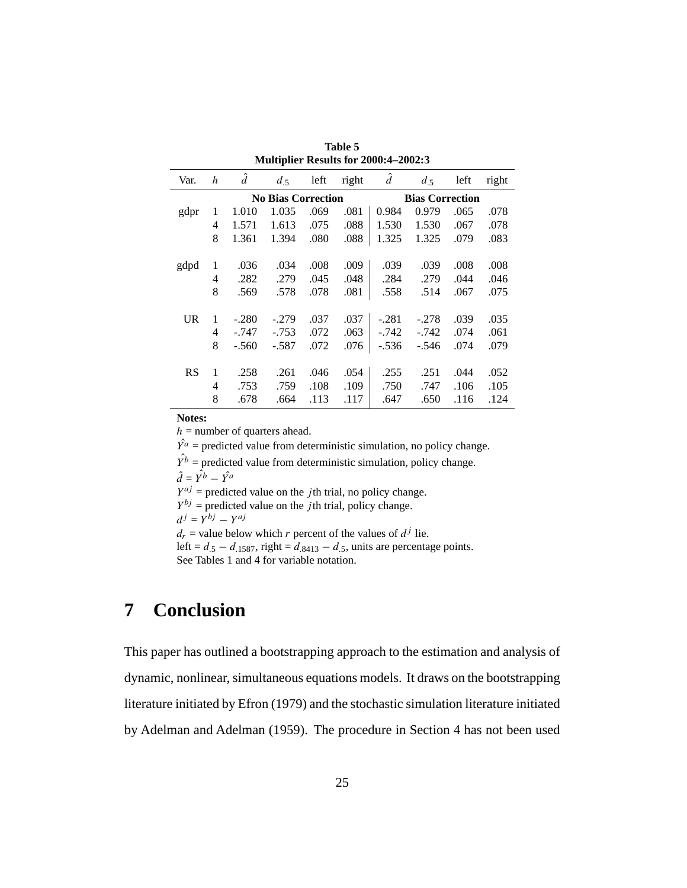| Var.                      | h | $\hat{d}$ | $d_{.5}$ | left | right | $\hat{d}$              | $d_{.5}$ | left | right |  |
|---------------------------|---|-----------|----------|------|-------|------------------------|----------|------|-------|--|
| <b>No Bias Correction</b> |   |           |          |      |       | <b>Bias Correction</b> |          |      |       |  |
| gdpr                      | 1 | 1.010     | 1.035    | .069 | .081  | 0.984                  | 0.979    | .065 | .078  |  |
|                           | 4 | 1.571     | 1.613    | .075 | .088  | 1.530                  | 1.530    | .067 | .078  |  |
|                           | 8 | 1.361     | 1.394    | .080 | .088  | 1.325                  | 1.325    | .079 | .083  |  |
|                           |   |           |          |      |       |                        |          |      |       |  |
| gdpd                      | 1 | .036      | .034     | .008 | .009  | .039                   | .039     | .008 | .008  |  |
|                           | 4 | .282      | .279     | .045 | .048  | .284                   | .279     | .044 | .046  |  |
|                           | 8 | .569      | .578     | .078 | .081  | .558                   | .514     | .067 | .075  |  |
|                           |   |           |          |      |       |                        |          |      |       |  |
| <b>UR</b>                 | 1 | $-.280$   | $-.279$  | .037 | .037  | $-.281$                | $-.278$  | .039 | .035  |  |
|                           | 4 | -.747     | $-.753$  | .072 | .063  | -.742                  | -.742    | .074 | .061  |  |
|                           | 8 | $-.560$   | $-.587$  | .072 | .076  | $-.536$                | $-.546$  | .074 | .079  |  |
|                           |   |           |          |      |       |                        |          |      |       |  |
| <b>RS</b>                 | 1 | .258      | .261     | .046 | .054  | .255                   | .251     | .044 | .052  |  |
|                           | 4 | .753      | .759     | .108 | .109  | .750                   | .747     | .106 | .105  |  |
|                           | 8 | .678      | .664     | .113 | .117  | .647                   | .650     | .116 | .124  |  |

**Table 5 Multiplier Results for 2000:4–2002:3**

**Notes:**

 $h =$  number of quarters ahead.

 $\hat{Y}^a$  = predicted value from deterministic simulation, no policy change.

 $\hat{Y}^b$  = predicted value from deterministic simulation, policy change.

 $\hat{d} = \hat{Y}^b - \hat{Y}^a$ 

 $Y^{aj}$  = predicted value on the *j*th trial, no policy change.

 $Y^{bj}$  = predicted value on the *j*th trial, policy change.

$$
d^j = Y^{bj} - Y^{aj}
$$

 $d_r$  = value below which r percent of the values of  $d^j$  lie.

left =  $d_{.5} - d_{.1587}$ , right =  $d_{.8413} - d_{.5}$ , units are percentage points. See Tables 1 and 4 for variable notation.

## **7 Conclusion**

This paper has outlined a bootstrapping approach to the estimation and analysis of dynamic, nonlinear, simultaneous equations models. It draws on the bootstrapping literature initiated by Efron (1979) and the stochastic simulation literature initiated by Adelman and Adelman (1959). The procedure in Section 4 has not been used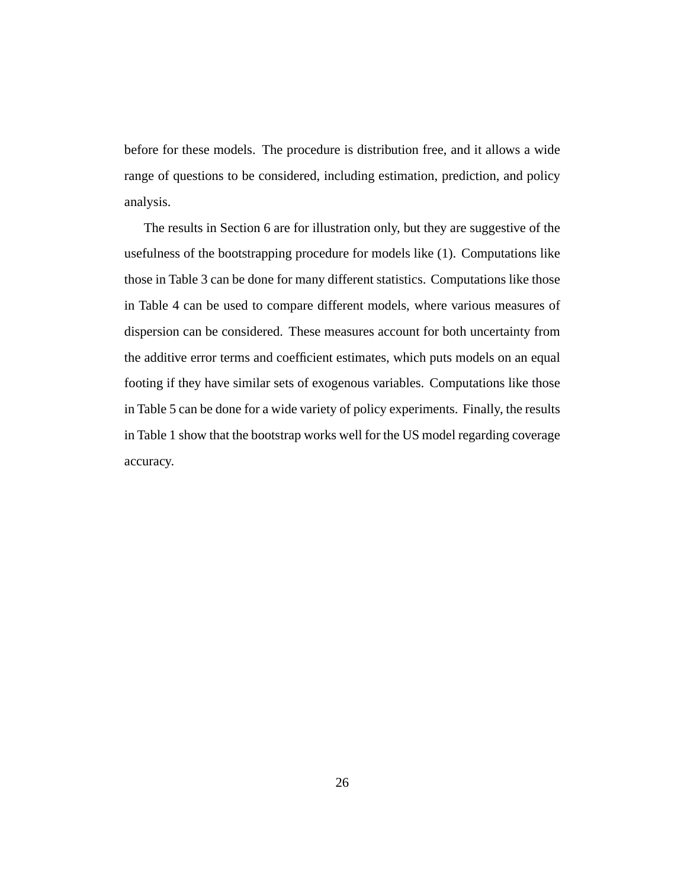before for these models. The procedure is distribution free, and it allows a wide range of questions to be considered, including estimation, prediction, and policy analysis.

The results in Section 6 are for illustration only, but they are suggestive of the usefulness of the bootstrapping procedure for models like (1). Computations like those in Table 3 can be done for many different statistics. Computations like those in Table 4 can be used to compare different models, where various measures of dispersion can be considered. These measures account for both uncertainty from the additive error terms and coefficient estimates, which puts models on an equal footing if they have similar sets of exogenous variables. Computations like those in Table 5 can be done for a wide variety of policy experiments. Finally, the results in Table 1 show that the bootstrap works well for the US model regarding coverage accuracy.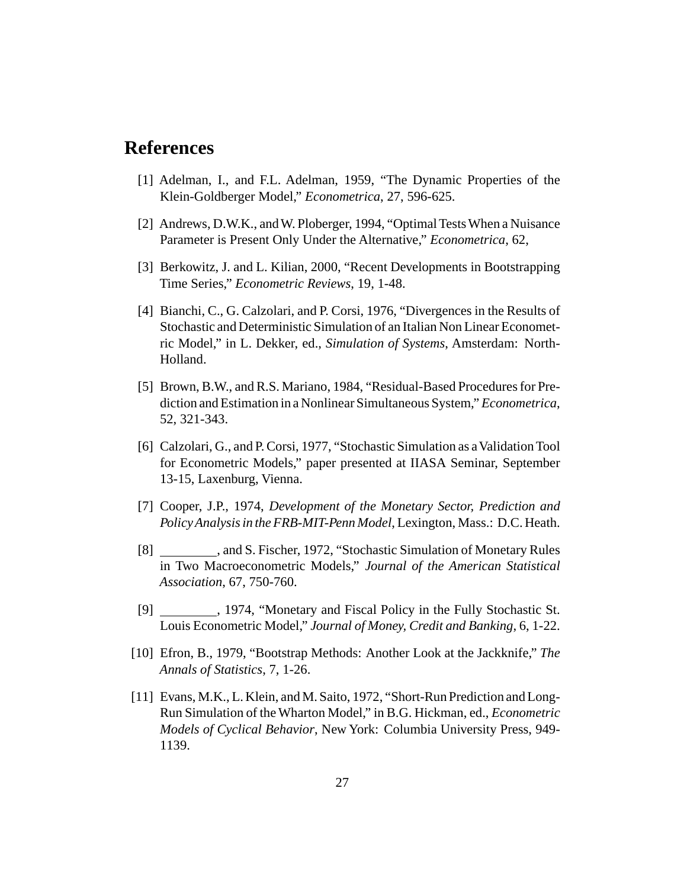### **References**

- [1] Adelman, I., and F.L. Adelman, 1959, "The Dynamic Properties of the Klein-Goldberger Model," *Econometrica*, 27, 596-625.
- [2] Andrews, D.W.K., and W. Ploberger, 1994, "Optimal Tests When a Nuisance Parameter is Present Only Under the Alternative," *Econometrica*, 62,
- [3] Berkowitz, J. and L. Kilian, 2000, "Recent Developments in Bootstrapping Time Series," *Econometric Reviews*, 19, 1-48.
- [4] Bianchi, C., G. Calzolari, and P. Corsi, 1976, "Divergences in the Results of Stochastic and Deterministic Simulation of an Italian Non Linear Econometric Model," in L. Dekker, ed., *Simulation of Systems*, Amsterdam: North-Holland.
- [5] Brown, B.W., and R.S. Mariano, 1984, "Residual-Based Procedures for Prediction and Estimation in a Nonlinear Simultaneous System," *Econometrica*, 52, 321-343.
- [6] Calzolari, G., and P. Corsi, 1977, "Stochastic Simulation as a Validation Tool for Econometric Models," paper presented at IIASA Seminar, September 13-15, Laxenburg, Vienna.
- [7] Cooper, J.P., 1974, *Development of the Monetary Sector, Prediction and Policy Analysis in the FRB-MIT-Penn Model*, Lexington, Mass.: D.C. Heath.
- [8] , and S. Fischer, 1972, "Stochastic Simulation of Monetary Rules in Two Macroeconometric Models," *Journal of the American Statistical Association*, 67, 750-760.
- [9] , 1974, "Monetary and Fiscal Policy in the Fully Stochastic St. Louis Econometric Model," *Journal of Money, Credit and Banking*, 6, 1-22.
- [10] Efron, B., 1979, "Bootstrap Methods: Another Look at the Jackknife," *The Annals of Statistics*, 7, 1-26.
- [11] Evans, M.K., L. Klein, and M. Saito, 1972, "Short-Run Prediction and Long-Run Simulation of the Wharton Model," in B.G. Hickman, ed., *Econometric Models of Cyclical Behavior*, New York: Columbia University Press, 949- 1139.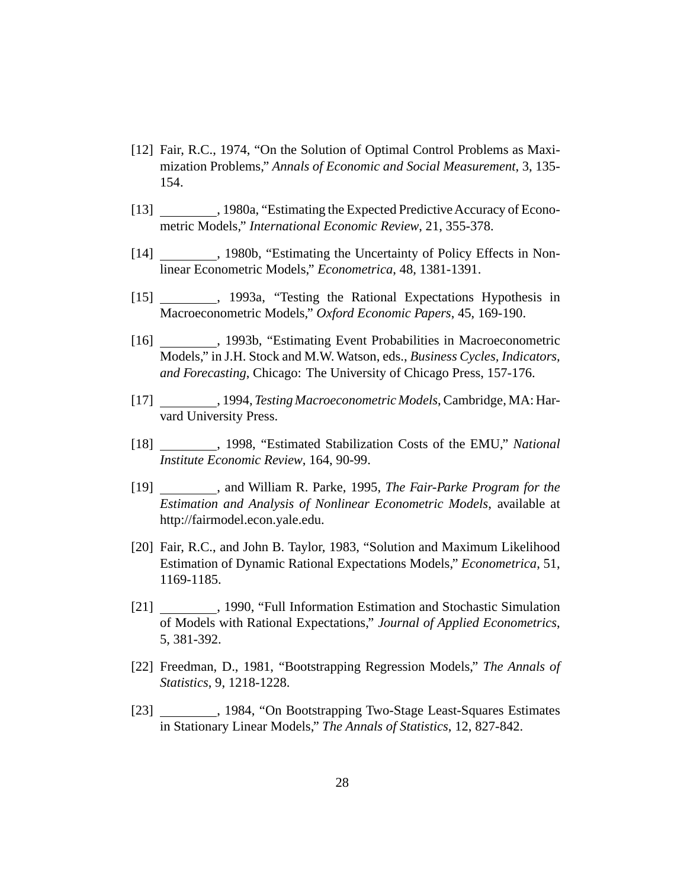- [12] Fair, R.C., 1974, "On the Solution of Optimal Control Problems as Maximization Problems," *Annals of Economic and Social Measurement*, 3, 135- 154.
- [13] The stimating the Expected Predictive Accuracy of Econometric Models," *International Economic Review*, 21, 355-378.
- [14] \_\_\_\_\_\_\_\_, 1980b, "Estimating the Uncertainty of Policy Effects in Nonlinear Econometric Models," *Econometrica*, 48, 1381-1391.
- [15] , 1993a, "Testing the Rational Expectations Hypothesis in Macroeconometric Models," *Oxford Economic Papers*, 45, 169-190.
- [16] , 1993b, "Estimating Event Probabilities in Macroeconometric Models," in J.H. Stock and M.W. Watson, eds., *Business Cycles, Indicators, and Forecasting*, Chicago: The University of Chicago Press, 157-176.
- [17] , 1994, *Testing Macroeconometric Models*, Cambridge, MA: Harvard University Press.
- [18] , 1998, "Estimated Stabilization Costs of the EMU," *National Institute Economic Review*, 164, 90-99.
- [19] , and William R. Parke, 1995, *The Fair-Parke Program for the Estimation and Analysis of Nonlinear Econometric Models*, available at http://fairmodel.econ.yale.edu.
- [20] Fair, R.C., and John B. Taylor, 1983, "Solution and Maximum Likelihood Estimation of Dynamic Rational Expectations Models," *Econometrica*, 51, 1169-1185.
- [21] 1990, "Full Information Estimation and Stochastic Simulation of Models with Rational Expectations," *Journal of Applied Econometrics*, 5, 381-392.
- [22] Freedman, D., 1981, "Bootstrapping Regression Models," *The Annals of Statistics*, 9, 1218-1228.
- [23] , 1984, "On Bootstrapping Two-Stage Least-Squares Estimates in Stationary Linear Models," *The Annals of Statistics*, 12, 827-842.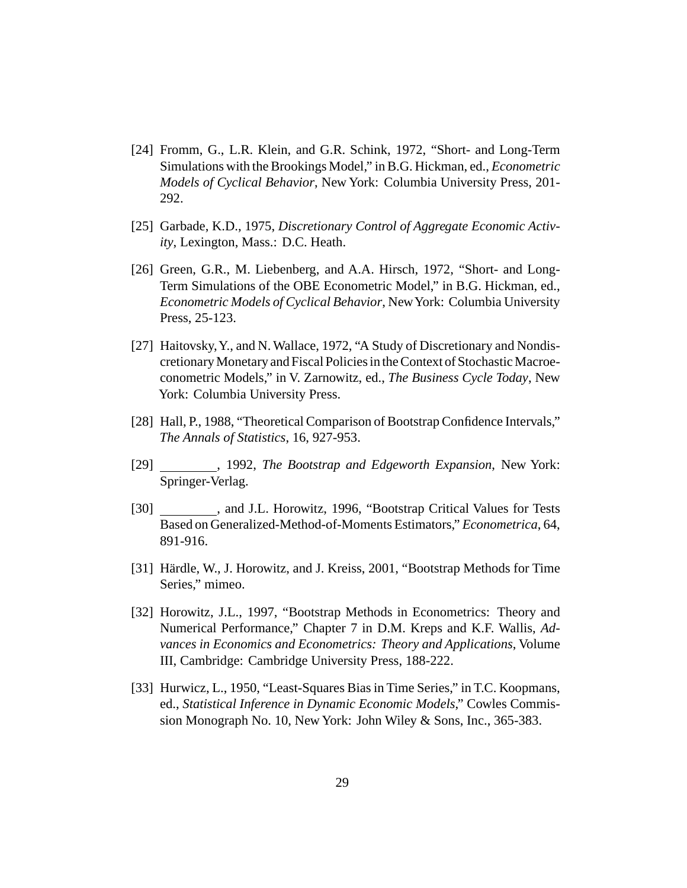- [24] Fromm, G., L.R. Klein, and G.R. Schink, 1972, "Short- and Long-Term Simulations with the Brookings Model," in B.G. Hickman, ed., *Econometric Models of Cyclical Behavior*, New York: Columbia University Press, 201- 292.
- [25] Garbade, K.D., 1975, *Discretionary Control of Aggregate Economic Activity*, Lexington, Mass.: D.C. Heath.
- [26] Green, G.R., M. Liebenberg, and A.A. Hirsch, 1972, "Short- and Long-Term Simulations of the OBE Econometric Model," in B.G. Hickman, ed., *Econometric Models of Cyclical Behavior*, NewYork: Columbia University Press, 25-123.
- [27] Haitovsky, Y., and N. Wallace, 1972, "A Study of Discretionary and Nondiscretionary Monetary and Fiscal Policies in the Context of Stochastic Macroeconometric Models," in V. Zarnowitz, ed., *The Business Cycle Today*, New York: Columbia University Press.
- [28] Hall, P., 1988, "Theoretical Comparison of Bootstrap Confidence Intervals," *The Annals of Statistics*, 16, 927-953.
- [29] , 1992, *The Bootstrap and Edgeworth Expansion*, New York: Springer-Verlag.
- [30] , and J.L. Horowitz, 1996, "Bootstrap Critical Values for Tests Based on Generalized-Method-of-Moments Estimators," *Econometrica*, 64, 891-916.
- [31] Härdle, W., J. Horowitz, and J. Kreiss, 2001, "Bootstrap Methods for Time Series," mimeo.
- [32] Horowitz, J.L., 1997, "Bootstrap Methods in Econometrics: Theory and Numerical Performance," Chapter 7 in D.M. Kreps and K.F. Wallis, *Advances in Economics and Econometrics: Theory and Applications*, Volume III, Cambridge: Cambridge University Press, 188-222.
- [33] Hurwicz, L., 1950, "Least-Squares Bias in Time Series," in T.C. Koopmans, ed., *Statistical Inference in Dynamic Economic Models*," Cowles Commission Monograph No. 10, New York: John Wiley & Sons, Inc., 365-383.